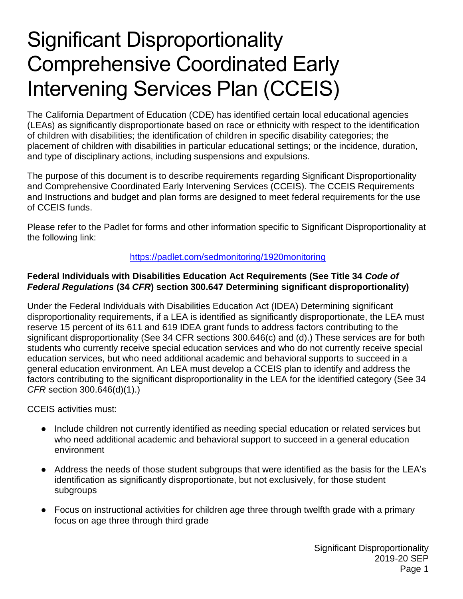# Significant Disproportionality Comprehensive Coordinated Early Intervening Services Plan (CCEIS)

The California Department of Education (CDE) has identified certain local educational agencies (LEAs) as significantly disproportionate based on race or ethnicity with respect to the identification of children with disabilities; the identification of children in specific disability categories; the placement of children with disabilities in particular educational settings; or the incidence, duration, and type of disciplinary actions, including suspensions and expulsions.

The purpose of this document is to describe requirements regarding Significant Disproportionality and Comprehensive Coordinated Early Intervening Services (CCEIS). The CCEIS Requirements and Instructions and budget and plan forms are designed to meet federal requirements for the use of CCEIS funds.

Please refer to the Padlet for forms and other information specific to Significant Disproportionality at the following link:

#### <https://padlet.com/sedmonitoring/1920monitoring>

#### **Federal Individuals with Disabilities Education Act Requirements (See Title 34** *Code of Federal Regulations* **(34** *CFR***) section 300.647 Determining significant disproportionality)**

Under the Federal Individuals with Disabilities Education Act (IDEA) Determining significant disproportionality requirements, if a LEA is identified as significantly disproportionate, the LEA must reserve 15 percent of its 611 and 619 IDEA grant funds to address factors contributing to the significant disproportionality (See 34 CFR sections 300.646(c) and (d).) These services are for both students who currently receive special education services and who do not currently receive special education services, but who need additional academic and behavioral supports to succeed in a general education environment. An LEA must develop a CCEIS plan to identify and address the factors contributing to the significant disproportionality in the LEA for the identified category (See 34 *CFR* section 300.646(d)(1).)

CCEIS activities must:

- Include children not currently identified as needing special education or related services but who need additional academic and behavioral support to succeed in a general education environment
- Address the needs of those student subgroups that were identified as the basis for the LEA's identification as significantly disproportionate, but not exclusively, for those student subgroups
- Focus on instructional activities for children age three through twelfth grade with a primary focus on age three through third grade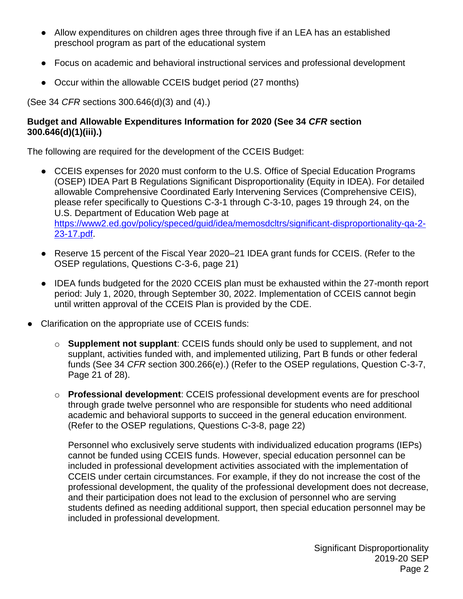- Allow expenditures on children ages three through five if an LEA has an established preschool program as part of the educational system
- Focus on academic and behavioral instructional services and professional development
- Occur within the allowable CCEIS budget period (27 months)

(See 34 *CFR* sections 300.646(d)(3) and (4).)

#### **Budget and Allowable Expenditures Information for 2020 (See 34** *CFR* **section 300.646(d)(1)(iii).)**

The following are required for the development of the CCEIS Budget:

- CCEIS expenses for 2020 must conform to the U.S. Office of Special Education Programs (OSEP) IDEA Part B Regulations Significant Disproportionality (Equity in IDEA). For detailed allowable Comprehensive Coordinated Early Intervening Services (Comprehensive CEIS), please refer specifically to Questions C-3-1 through C-3-10, pages 19 through 24, on the U.S. Department of Education Web page at [https://www2.ed.gov/policy/speced/guid/idea/memosdcltrs/significant-disproportionality-qa-2-](https://www2.ed.gov/policy/speced/guid/idea/memosdcltrs/significant-disproportionality-qa-2-23-17.pdf) [23-17.pdf.](https://www2.ed.gov/policy/speced/guid/idea/memosdcltrs/significant-disproportionality-qa-2-23-17.pdf)
- Reserve 15 percent of the Fiscal Year 2020–21 IDEA grant funds for CCEIS. (Refer to the OSEP regulations, Questions C-3-6, page 21)
- IDEA funds budgeted for the 2020 CCEIS plan must be exhausted within the 27-month report period: July 1, 2020, through September 30, 2022. Implementation of CCEIS cannot begin until written approval of the CCEIS Plan is provided by the CDE.
- Clarification on the appropriate use of CCEIS funds:
	- o **Supplement not supplant**: CCEIS funds should only be used to supplement, and not supplant, activities funded with, and implemented utilizing, Part B funds or other federal funds (See 34 *CFR* section 300.266(e).) (Refer to the OSEP regulations, Question C-3-7, Page 21 of 28).
	- o **Professional development**: CCEIS professional development events are for preschool through grade twelve personnel who are responsible for students who need additional academic and behavioral supports to succeed in the general education environment. (Refer to the OSEP regulations, Questions C-3-8, page 22)

Personnel who exclusively serve students with individualized education programs (IEPs) cannot be funded using CCEIS funds. However, special education personnel can be included in professional development activities associated with the implementation of CCEIS under certain circumstances. For example, if they do not increase the cost of the professional development, the quality of the professional development does not decrease, and their participation does not lead to the exclusion of personnel who are serving students defined as needing additional support, then special education personnel may be included in professional development.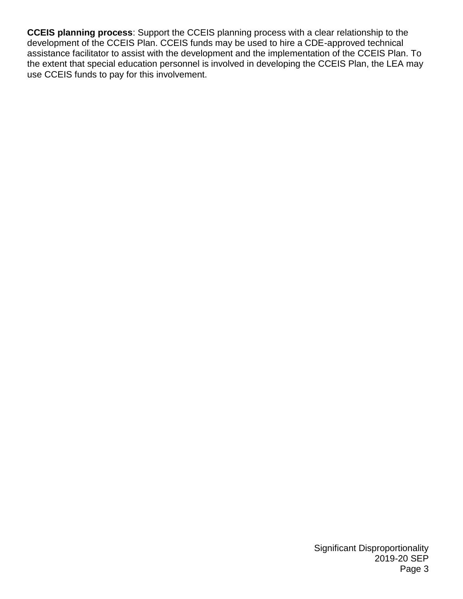**CCEIS planning process**: Support the CCEIS planning process with a clear relationship to the development of the CCEIS Plan. CCEIS funds may be used to hire a CDE-approved technical assistance facilitator to assist with the development and the implementation of the CCEIS Plan. To the extent that special education personnel is involved in developing the CCEIS Plan, the LEA may use CCEIS funds to pay for this involvement.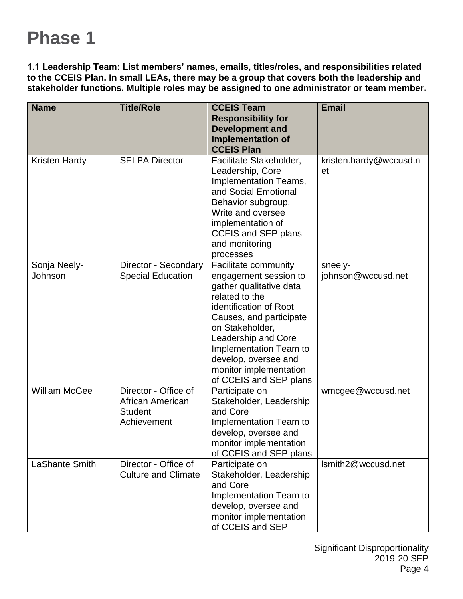# **Phase 1**

**1.1 Leadership Team: List members' names, emails, titles/roles, and responsibilities related to the CCEIS Plan. In small LEAs, there may be a group that covers both the leadership and stakeholder functions. Multiple roles may be assigned to one administrator or team member.**

| <b>Name</b>             | <b>Title/Role</b>                                                         | <b>CCEIS Team</b><br><b>Responsibility for</b><br><b>Development and</b><br><b>Implementation of</b><br><b>CCEIS Plan</b>                                                                                                                                                                       | <b>Email</b>                  |
|-------------------------|---------------------------------------------------------------------------|-------------------------------------------------------------------------------------------------------------------------------------------------------------------------------------------------------------------------------------------------------------------------------------------------|-------------------------------|
| <b>Kristen Hardy</b>    | <b>SELPA Director</b>                                                     | Facilitate Stakeholder,<br>Leadership, Core<br>Implementation Teams,<br>and Social Emotional<br>Behavior subgroup.<br>Write and oversee<br>implementation of<br><b>CCEIS and SEP plans</b><br>and monitoring<br>processes                                                                       | kristen.hardy@wccusd.n<br>et  |
| Sonja Neely-<br>Johnson | Director - Secondary<br><b>Special Education</b>                          | Facilitate community<br>engagement session to<br>gather qualitative data<br>related to the<br>identification of Root<br>Causes, and participate<br>on Stakeholder,<br>Leadership and Core<br>Implementation Team to<br>develop, oversee and<br>monitor implementation<br>of CCEIS and SEP plans | sneely-<br>johnson@wccusd.net |
| <b>William McGee</b>    | Director - Office of<br>African American<br><b>Student</b><br>Achievement | Participate on<br>Stakeholder, Leadership<br>and Core<br>Implementation Team to<br>develop, oversee and<br>monitor implementation<br>of CCEIS and SEP plans                                                                                                                                     | wmcgee@wccusd.net             |
| LaShante Smith          | Director - Office of<br><b>Culture and Climate</b>                        | Participate on<br>Stakeholder, Leadership<br>and Core<br>Implementation Team to<br>develop, oversee and<br>monitor implementation<br>of CCEIS and SEP                                                                                                                                           | Ismith2@wccusd.net            |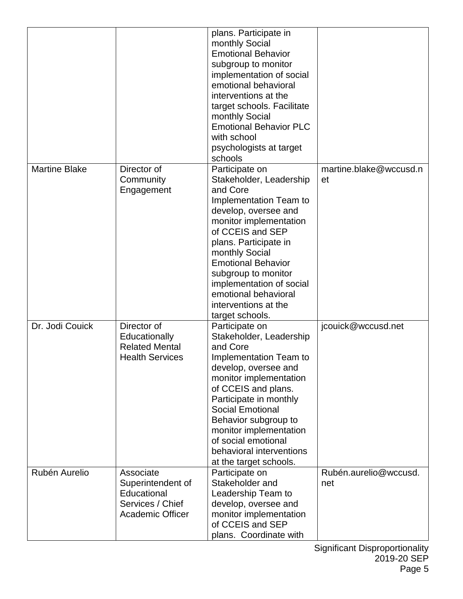|                      |                                                                                              | plans. Participate in<br>monthly Social<br><b>Emotional Behavior</b><br>subgroup to monitor<br>implementation of social<br>emotional behavioral<br>interventions at the<br>target schools. Facilitate<br>monthly Social<br><b>Emotional Behavior PLC</b><br>with school<br>psychologists at target<br>schools                                       |                              |
|----------------------|----------------------------------------------------------------------------------------------|-----------------------------------------------------------------------------------------------------------------------------------------------------------------------------------------------------------------------------------------------------------------------------------------------------------------------------------------------------|------------------------------|
| <b>Martine Blake</b> | Director of<br>Community<br>Engagement                                                       | Participate on<br>Stakeholder, Leadership<br>and Core<br>Implementation Team to<br>develop, oversee and<br>monitor implementation<br>of CCEIS and SEP<br>plans. Participate in<br>monthly Social<br><b>Emotional Behavior</b><br>subgroup to monitor<br>implementation of social<br>emotional behavioral<br>interventions at the<br>target schools. | martine.blake@wccusd.n<br>et |
| Dr. Jodi Couick      | Director of<br>Educationally<br><b>Related Mental</b><br><b>Health Services</b>              | Participate on<br>Stakeholder, Leadership<br>and Core<br>Implementation Team to<br>develop, oversee and<br>monitor implementation<br>of CCEIS and plans.<br>Participate in monthly<br><b>Social Emotional</b><br>Behavior subgroup to<br>monitor implementation<br>of social emotional<br>behavioral interventions<br>at the target schools.        | jcouick@wccusd.net           |
| Rubén Aurelio        | Associate<br>Superintendent of<br>Educational<br>Services / Chief<br><b>Academic Officer</b> | Participate on<br>Stakeholder and<br>Leadership Team to<br>develop, oversee and<br>monitor implementation<br>of CCEIS and SEP<br>plans. Coordinate with                                                                                                                                                                                             | Rubén.aurelio@wccusd.<br>net |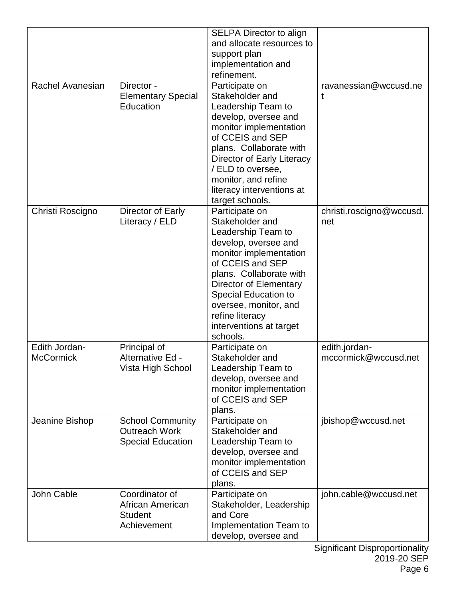|                  |                           | <b>SELPA Director to align</b>                       |                          |
|------------------|---------------------------|------------------------------------------------------|--------------------------|
|                  |                           | and allocate resources to                            |                          |
|                  |                           | support plan                                         |                          |
|                  |                           | implementation and                                   |                          |
|                  |                           | refinement.                                          |                          |
| Rachel Avanesian | Director -                | Participate on                                       | ravanessian@wccusd.ne    |
|                  | <b>Elementary Special</b> | Stakeholder and                                      | t                        |
|                  | Education                 | Leadership Team to                                   |                          |
|                  |                           | develop, oversee and                                 |                          |
|                  |                           | monitor implementation                               |                          |
|                  |                           | of CCEIS and SEP                                     |                          |
|                  |                           | plans. Collaborate with                              |                          |
|                  |                           | Director of Early Literacy                           |                          |
|                  |                           | / ELD to oversee,                                    |                          |
|                  |                           | monitor, and refine                                  |                          |
|                  |                           | literacy interventions at                            |                          |
|                  |                           | target schools.                                      |                          |
| Christi Roscigno | Director of Early         | Participate on                                       | christi.roscigno@wccusd. |
|                  | Literacy / ELD            | Stakeholder and                                      | net                      |
|                  |                           | Leadership Team to                                   |                          |
|                  |                           | develop, oversee and                                 |                          |
|                  |                           | monitor implementation                               |                          |
|                  |                           | of CCEIS and SEP                                     |                          |
|                  |                           | plans. Collaborate with                              |                          |
|                  |                           | Director of Elementary                               |                          |
|                  |                           | <b>Special Education to</b><br>oversee, monitor, and |                          |
|                  |                           | refine literacy                                      |                          |
|                  |                           | interventions at target                              |                          |
|                  |                           | schools.                                             |                          |
| Edith Jordan-    | Principal of              | Participate on                                       | edith.jordan-            |
| <b>McCormick</b> | Alternative Ed -          | Stakeholder and                                      | mccormick@wccusd.net     |
|                  | Vista High School         | Leadership Team to                                   |                          |
|                  |                           | develop, oversee and                                 |                          |
|                  |                           | monitor implementation                               |                          |
|                  |                           | of CCEIS and SEP                                     |                          |
|                  |                           | plans.                                               |                          |
| Jeanine Bishop   | <b>School Community</b>   | Participate on                                       | jbishop@wccusd.net       |
|                  | <b>Outreach Work</b>      | Stakeholder and                                      |                          |
|                  | <b>Special Education</b>  | Leadership Team to                                   |                          |
|                  |                           | develop, oversee and                                 |                          |
|                  |                           | monitor implementation                               |                          |
|                  |                           | of CCEIS and SEP                                     |                          |
|                  |                           | plans.                                               |                          |
| John Cable       | Coordinator of            | Participate on                                       | john.cable@wccusd.net    |
|                  | African American          | Stakeholder, Leadership                              |                          |
|                  | <b>Student</b>            | and Core                                             |                          |
|                  | Achievement               | Implementation Team to                               |                          |
|                  |                           | develop, oversee and                                 |                          |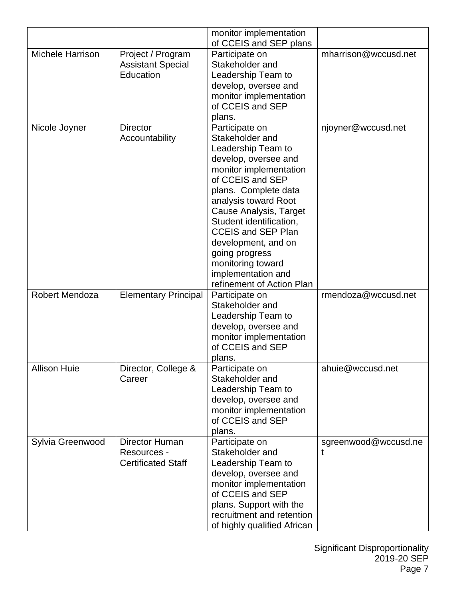|                         |                             | monitor implementation                            |                      |
|-------------------------|-----------------------------|---------------------------------------------------|----------------------|
|                         |                             | of CCEIS and SEP plans                            |                      |
| <b>Michele Harrison</b> | Project / Program           | Participate on                                    | mharrison@wccusd.net |
|                         | <b>Assistant Special</b>    | Stakeholder and                                   |                      |
|                         | Education                   | Leadership Team to                                |                      |
|                         |                             | develop, oversee and                              |                      |
|                         |                             | monitor implementation                            |                      |
|                         |                             | of CCEIS and SEP                                  |                      |
|                         |                             | plans.                                            |                      |
| Nicole Joyner           | <b>Director</b>             | Participate on                                    | njoyner@wccusd.net   |
|                         | Accountability              | Stakeholder and                                   |                      |
|                         |                             | Leadership Team to                                |                      |
|                         |                             | develop, oversee and                              |                      |
|                         |                             | monitor implementation                            |                      |
|                         |                             | of CCEIS and SEP                                  |                      |
|                         |                             | plans. Complete data                              |                      |
|                         |                             | analysis toward Root                              |                      |
|                         |                             | Cause Analysis, Target<br>Student identification, |                      |
|                         |                             | <b>CCEIS and SEP Plan</b>                         |                      |
|                         |                             | development, and on                               |                      |
|                         |                             | going progress                                    |                      |
|                         |                             | monitoring toward                                 |                      |
|                         |                             | implementation and                                |                      |
|                         |                             | refinement of Action Plan                         |                      |
| Robert Mendoza          | <b>Elementary Principal</b> | Participate on                                    | rmendoza@wccusd.net  |
|                         |                             | Stakeholder and                                   |                      |
|                         |                             | Leadership Team to                                |                      |
|                         |                             | develop, oversee and                              |                      |
|                         |                             | monitor implementation                            |                      |
|                         |                             | of CCEIS and SEP                                  |                      |
|                         |                             | plans.                                            |                      |
| <b>Allison Huie</b>     | Director, College &         | Participate on                                    | ahuie@wccusd.net     |
|                         | Career                      | Stakeholder and                                   |                      |
|                         |                             | Leadership Team to                                |                      |
|                         |                             | develop, oversee and                              |                      |
|                         |                             | monitor implementation                            |                      |
|                         |                             | of CCEIS and SEP                                  |                      |
|                         |                             | plans.                                            |                      |
| Sylvia Greenwood        | Director Human              | Participate on                                    | sgreenwood@wccusd.ne |
|                         | Resources -                 | Stakeholder and                                   |                      |
|                         | <b>Certificated Staff</b>   | Leadership Team to                                |                      |
|                         |                             | develop, oversee and                              |                      |
|                         |                             | monitor implementation                            |                      |
|                         |                             | of CCEIS and SEP                                  |                      |
|                         |                             | plans. Support with the                           |                      |
|                         |                             | recruitment and retention                         |                      |
|                         |                             | of highly qualified African                       |                      |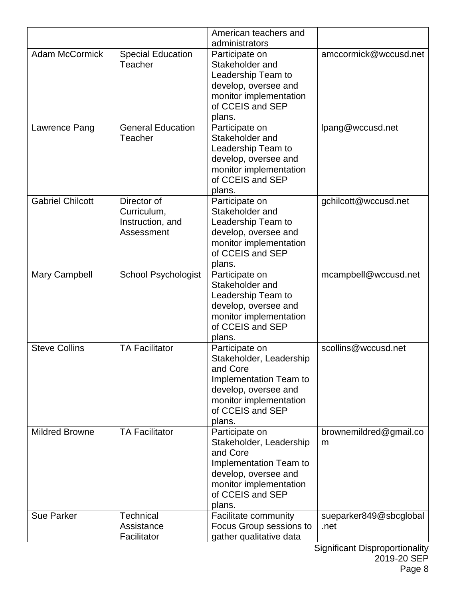|                         |                                                              | American teachers and<br>administrators                                                                                                                         |                                |
|-------------------------|--------------------------------------------------------------|-----------------------------------------------------------------------------------------------------------------------------------------------------------------|--------------------------------|
| <b>Adam McCormick</b>   | <b>Special Education</b><br>Teacher                          | Participate on<br>Stakeholder and<br>Leadership Team to<br>develop, oversee and<br>monitor implementation<br>of CCEIS and SEP<br>plans.                         | amccormick@wccusd.net          |
| Lawrence Pang           | <b>General Education</b><br>Teacher                          | Participate on<br>Stakeholder and<br>Leadership Team to<br>develop, oversee and<br>monitor implementation<br>of CCEIS and SEP<br>plans.                         | lpang@wccusd.net               |
| <b>Gabriel Chilcott</b> | Director of<br>Curriculum,<br>Instruction, and<br>Assessment | Participate on<br>Stakeholder and<br>Leadership Team to<br>develop, oversee and<br>monitor implementation<br>of CCEIS and SEP<br>plans.                         | gchilcott@wccusd.net           |
| Mary Campbell           | <b>School Psychologist</b>                                   | Participate on<br>Stakeholder and<br>Leadership Team to<br>develop, oversee and<br>monitor implementation<br>of CCEIS and SEP<br>plans.                         | mcampbell@wccusd.net           |
| <b>Steve Collins</b>    | <b>TA Facilitator</b>                                        | Participate on<br>Stakeholder, Leadership<br>and Core<br>Implementation Team to<br>develop, oversee and<br>monitor implementation<br>of CCEIS and SEP<br>plans. | scollins@wccusd.net            |
| <b>Mildred Browne</b>   | <b>TA Facilitator</b>                                        | Participate on<br>Stakeholder, Leadership<br>and Core<br>Implementation Team to<br>develop, oversee and<br>monitor implementation<br>of CCEIS and SEP<br>plans. | brownemildred@gmail.co<br>m    |
| <b>Sue Parker</b>       | Technical<br>Assistance<br>Facilitator                       | Facilitate community<br>Focus Group sessions to<br>gather qualitative data                                                                                      | sueparker849@sbcglobal<br>.net |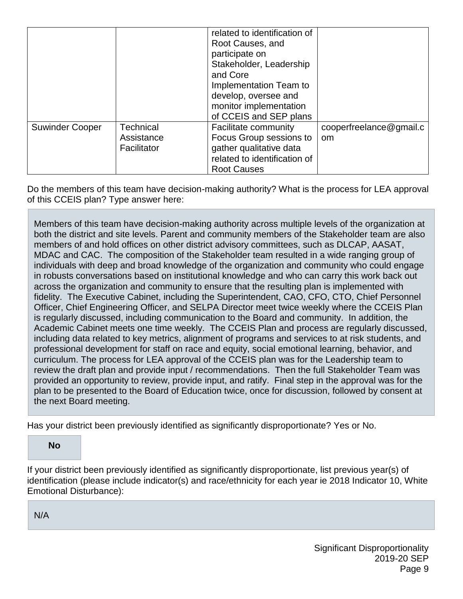|                        |                                        | related to identification of<br>Root Causes, and<br>participate on<br>Stakeholder, Leadership<br>and Core<br>Implementation Team to<br>develop, oversee and<br>monitor implementation<br>of CCEIS and SEP plans |                                          |
|------------------------|----------------------------------------|-----------------------------------------------------------------------------------------------------------------------------------------------------------------------------------------------------------------|------------------------------------------|
| <b>Suwinder Cooper</b> | Technical<br>Assistance<br>Facilitator | Facilitate community<br>Focus Group sessions to<br>gather qualitative data<br>related to identification of<br><b>Root Causes</b>                                                                                | cooperfreelance@gmail.c<br><sub>om</sub> |

Do the members of this team have decision-making authority? What is the process for LEA approval of this CCEIS plan? Type answer here:

Members of this team have decision-making authority across multiple levels of the organization at both the district and site levels. Parent and community members of the Stakeholder team are also members of and hold offices on other district advisory committees, such as DLCAP, AASAT, MDAC and CAC. The composition of the Stakeholder team resulted in a wide ranging group of individuals with deep and broad knowledge of the organization and community who could engage in robusts conversations based on institutional knowledge and who can carry this work back out across the organization and community to ensure that the resulting plan is implemented with fidelity. The Executive Cabinet, including the Superintendent, CAO, CFO, CTO, Chief Personnel Officer, Chief Engineering Officer, and SELPA Director meet twice weekly where the CCEIS Plan is regularly discussed, including communication to the Board and community. In addition, the Academic Cabinet meets one time weekly. The CCEIS Plan and process are regularly discussed, including data related to key metrics, alignment of programs and services to at risk students, and professional development for staff on race and equity, social emotional learning, behavior, and curriculum. The process for LEA approval of the CCEIS plan was for the Leadership team to review the draft plan and provide input / recommendations. Then the full Stakeholder Team was provided an opportunity to review, provide input, and ratify. Final step in the approval was for the plan to be presented to the Board of Education twice, once for discussion, followed by consent at the next Board meeting.

Has your district been previously identified as significantly disproportionate? Yes or No.

#### **No**

If your district been previously identified as significantly disproportionate, list previous year(s) of identification (please include indicator(s) and race/ethnicity for each year ie 2018 Indicator 10, White Emotional Disturbance):

N/A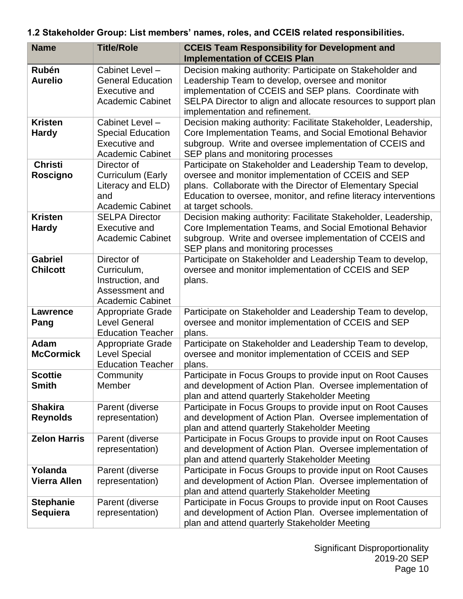## **1.2 Stakeholder Group: List members' names, roles, and CCEIS related responsibilities.**

| <b>Name</b>                         | <b>Title/Role</b>                                                                              | <b>CCEIS Team Responsibility for Development and</b><br><b>Implementation of CCEIS Plan</b>                                                                                                                                                                                |
|-------------------------------------|------------------------------------------------------------------------------------------------|----------------------------------------------------------------------------------------------------------------------------------------------------------------------------------------------------------------------------------------------------------------------------|
| <b>Rubén</b><br><b>Aurelio</b>      | Cabinet Level -<br><b>General Education</b><br><b>Executive and</b><br><b>Academic Cabinet</b> | Decision making authority: Participate on Stakeholder and<br>Leadership Team to develop, oversee and monitor<br>implementation of CCEIS and SEP plans. Coordinate with<br>SELPA Director to align and allocate resources to support plan<br>implementation and refinement. |
| <b>Kristen</b><br><b>Hardy</b>      | Cabinet Level -<br><b>Special Education</b><br><b>Executive and</b><br><b>Academic Cabinet</b> | Decision making authority: Facilitate Stakeholder, Leadership,<br>Core Implementation Teams, and Social Emotional Behavior<br>subgroup. Write and oversee implementation of CCEIS and<br>SEP plans and monitoring processes                                                |
| <b>Christi</b><br>Roscigno          | Director of<br>Curriculum (Early<br>Literacy and ELD)<br>and<br><b>Academic Cabinet</b>        | Participate on Stakeholder and Leadership Team to develop,<br>oversee and monitor implementation of CCEIS and SEP<br>plans. Collaborate with the Director of Elementary Special<br>Education to oversee, monitor, and refine literacy interventions<br>at target schools.  |
| <b>Kristen</b><br><b>Hardy</b>      | <b>SELPA Director</b><br>Executive and<br><b>Academic Cabinet</b>                              | Decision making authority: Facilitate Stakeholder, Leadership,<br>Core Implementation Teams, and Social Emotional Behavior<br>subgroup. Write and oversee implementation of CCEIS and<br>SEP plans and monitoring processes                                                |
| <b>Gabriel</b><br><b>Chilcott</b>   | Director of<br>Curriculum,<br>Instruction, and<br>Assessment and<br><b>Academic Cabinet</b>    | Participate on Stakeholder and Leadership Team to develop,<br>oversee and monitor implementation of CCEIS and SEP<br>plans.                                                                                                                                                |
| <b>Lawrence</b><br>Pang             | <b>Appropriate Grade</b><br><b>Level General</b><br><b>Education Teacher</b>                   | Participate on Stakeholder and Leadership Team to develop,<br>oversee and monitor implementation of CCEIS and SEP<br>plans.                                                                                                                                                |
| Adam<br><b>McCormick</b>            | <b>Appropriate Grade</b><br><b>Level Special</b><br><b>Education Teacher</b>                   | Participate on Stakeholder and Leadership Team to develop,<br>oversee and monitor implementation of CCEIS and SEP<br>plans.                                                                                                                                                |
| <b>Scottie</b><br><b>Smith</b>      | Community<br>Member                                                                            | Participate in Focus Groups to provide input on Root Causes<br>and development of Action Plan. Oversee implementation of<br>plan and attend quarterly Stakeholder Meeting                                                                                                  |
| <b>Shakira</b><br><b>Reynolds</b>   | Parent (diverse<br>representation)                                                             | Participate in Focus Groups to provide input on Root Causes<br>and development of Action Plan. Oversee implementation of<br>plan and attend quarterly Stakeholder Meeting                                                                                                  |
| <b>Zelon Harris</b>                 | Parent (diverse<br>representation)                                                             | Participate in Focus Groups to provide input on Root Causes<br>and development of Action Plan. Oversee implementation of<br>plan and attend quarterly Stakeholder Meeting                                                                                                  |
| Yolanda<br><b>Vierra Allen</b>      | Parent (diverse<br>representation)                                                             | Participate in Focus Groups to provide input on Root Causes<br>and development of Action Plan. Oversee implementation of<br>plan and attend quarterly Stakeholder Meeting                                                                                                  |
| <b>Stephanie</b><br><b>Sequiera</b> | Parent (diverse<br>representation)                                                             | Participate in Focus Groups to provide input on Root Causes<br>and development of Action Plan. Oversee implementation of<br>plan and attend quarterly Stakeholder Meeting                                                                                                  |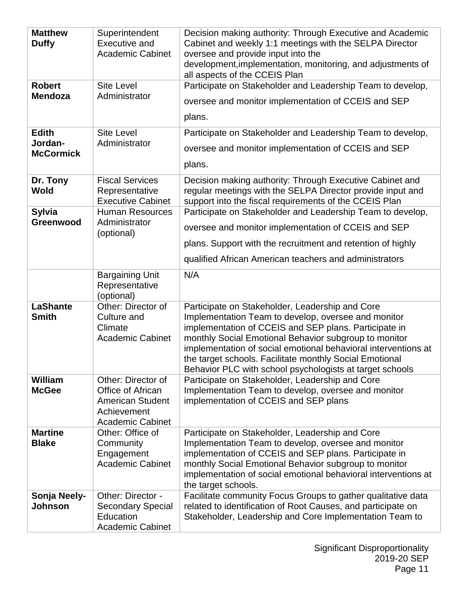| <b>Matthew</b><br><b>Duffy</b><br><b>Robert</b><br><b>Mendoza</b><br><b>Edith</b> | Superintendent<br><b>Executive and</b><br><b>Academic Cabinet</b><br><b>Site Level</b><br>Administrator<br><b>Site Level</b> | Decision making authority: Through Executive and Academic<br>Cabinet and weekly 1:1 meetings with the SELPA Director<br>oversee and provide input into the<br>development, implementation, monitoring, and adjustments of<br>all aspects of the CCEIS Plan<br>Participate on Stakeholder and Leadership Team to develop,<br>oversee and monitor implementation of CCEIS and SEP<br>plans.<br>Participate on Stakeholder and Leadership Team to develop, |
|-----------------------------------------------------------------------------------|------------------------------------------------------------------------------------------------------------------------------|---------------------------------------------------------------------------------------------------------------------------------------------------------------------------------------------------------------------------------------------------------------------------------------------------------------------------------------------------------------------------------------------------------------------------------------------------------|
| Jordan-<br><b>McCormick</b>                                                       | Administrator                                                                                                                | oversee and monitor implementation of CCEIS and SEP<br>plans.                                                                                                                                                                                                                                                                                                                                                                                           |
| Dr. Tony<br>Wold                                                                  | <b>Fiscal Services</b><br>Representative<br><b>Executive Cabinet</b>                                                         | Decision making authority: Through Executive Cabinet and<br>regular meetings with the SELPA Director provide input and<br>support into the fiscal requirements of the CCEIS Plan                                                                                                                                                                                                                                                                        |
| <b>Sylvia</b><br>Greenwood                                                        | <b>Human Resources</b><br>Administrator<br>(optional)                                                                        | Participate on Stakeholder and Leadership Team to develop,<br>oversee and monitor implementation of CCEIS and SEP<br>plans. Support with the recruitment and retention of highly<br>qualified African American teachers and administrators                                                                                                                                                                                                              |
|                                                                                   | <b>Bargaining Unit</b><br>Representative<br>(optional)                                                                       | N/A                                                                                                                                                                                                                                                                                                                                                                                                                                                     |
| <b>LaShante</b><br><b>Smith</b>                                                   | Other: Director of<br>Culture and<br>Climate<br><b>Academic Cabinet</b>                                                      | Participate on Stakeholder, Leadership and Core<br>Implementation Team to develop, oversee and monitor<br>implementation of CCEIS and SEP plans. Participate in<br>monthly Social Emotional Behavior subgroup to monitor<br>implementation of social emotional behavioral interventions at<br>the target schools. Facilitate monthly Social Emotional<br>Behavior PLC with school psychologists at target schools                                       |
| William<br><b>McGee</b>                                                           | Other: Director of<br>Office of African<br><b>American Student</b><br>Achievement<br><b>Academic Cabinet</b>                 | Participate on Stakeholder, Leadership and Core<br>Implementation Team to develop, oversee and monitor<br>implementation of CCEIS and SEP plans                                                                                                                                                                                                                                                                                                         |
| <b>Martine</b><br><b>Blake</b>                                                    | Other: Office of<br>Community<br>Engagement<br><b>Academic Cabinet</b>                                                       | Participate on Stakeholder, Leadership and Core<br>Implementation Team to develop, oversee and monitor<br>implementation of CCEIS and SEP plans. Participate in<br>monthly Social Emotional Behavior subgroup to monitor<br>implementation of social emotional behavioral interventions at<br>the target schools.                                                                                                                                       |
| Sonja Neely-<br>Johnson                                                           | Other: Director -<br><b>Secondary Special</b><br>Education<br><b>Academic Cabinet</b>                                        | Facilitate community Focus Groups to gather qualitative data<br>related to identification of Root Causes, and participate on<br>Stakeholder, Leadership and Core Implementation Team to                                                                                                                                                                                                                                                                 |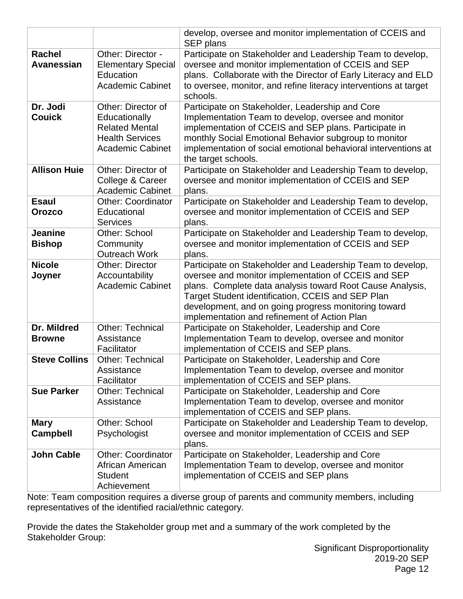|                                    |                                                                                                                   | develop, oversee and monitor implementation of CCEIS and<br>SEP plans                                                                                                                                                                                                                                                                       |
|------------------------------------|-------------------------------------------------------------------------------------------------------------------|---------------------------------------------------------------------------------------------------------------------------------------------------------------------------------------------------------------------------------------------------------------------------------------------------------------------------------------------|
| <b>Rachel</b><br><b>Avanessian</b> | Other: Director -<br><b>Elementary Special</b><br>Education<br><b>Academic Cabinet</b>                            | Participate on Stakeholder and Leadership Team to develop,<br>oversee and monitor implementation of CCEIS and SEP<br>plans. Collaborate with the Director of Early Literacy and ELD<br>to oversee, monitor, and refine literacy interventions at target<br>schools.                                                                         |
| Dr. Jodi<br><b>Couick</b>          | Other: Director of<br>Educationally<br><b>Related Mental</b><br><b>Health Services</b><br><b>Academic Cabinet</b> | Participate on Stakeholder, Leadership and Core<br>Implementation Team to develop, oversee and monitor<br>implementation of CCEIS and SEP plans. Participate in<br>monthly Social Emotional Behavior subgroup to monitor<br>implementation of social emotional behavioral interventions at<br>the target schools.                           |
| <b>Allison Huie</b>                | Other: Director of<br>College & Career<br><b>Academic Cabinet</b>                                                 | Participate on Stakeholder and Leadership Team to develop,<br>oversee and monitor implementation of CCEIS and SEP<br>plans.                                                                                                                                                                                                                 |
| <b>Esaul</b><br><b>Orozco</b>      | <b>Other: Coordinator</b><br>Educational<br><b>Services</b>                                                       | Participate on Stakeholder and Leadership Team to develop,<br>oversee and monitor implementation of CCEIS and SEP<br>plans.                                                                                                                                                                                                                 |
| <b>Jeanine</b><br><b>Bishop</b>    | Other: School<br>Community<br><b>Outreach Work</b>                                                                | Participate on Stakeholder and Leadership Team to develop,<br>oversee and monitor implementation of CCEIS and SEP<br>plans.                                                                                                                                                                                                                 |
| <b>Nicole</b><br>Joyner            | <b>Other: Director</b><br>Accountability<br><b>Academic Cabinet</b>                                               | Participate on Stakeholder and Leadership Team to develop,<br>oversee and monitor implementation of CCEIS and SEP<br>plans. Complete data analysis toward Root Cause Analysis,<br>Target Student identification, CCEIS and SEP Plan<br>development, and on going progress monitoring toward<br>implementation and refinement of Action Plan |
| Dr. Mildred<br><b>Browne</b>       | <b>Other: Technical</b><br>Assistance<br>Facilitator                                                              | Participate on Stakeholder, Leadership and Core<br>Implementation Team to develop, oversee and monitor<br>implementation of CCEIS and SEP plans.                                                                                                                                                                                            |
| <b>Steve Collins</b>               | <b>Other: Technical</b><br>Assistance<br>Facilitator                                                              | Participate on Stakeholder, Leadership and Core<br>Implementation Team to develop, oversee and monitor<br>implementation of CCEIS and SEP plans.                                                                                                                                                                                            |
| <b>Sue Parker</b>                  | <b>Other: Technical</b><br>Assistance                                                                             | Participate on Stakeholder, Leadership and Core<br>Implementation Team to develop, oversee and monitor<br>implementation of CCEIS and SEP plans.                                                                                                                                                                                            |
| <b>Mary</b><br><b>Campbell</b>     | Other: School<br>Psychologist                                                                                     | Participate on Stakeholder and Leadership Team to develop,<br>oversee and monitor implementation of CCEIS and SEP<br>plans.                                                                                                                                                                                                                 |
| <b>John Cable</b>                  | <b>Other: Coordinator</b><br>African American<br><b>Student</b><br>Achievement                                    | Participate on Stakeholder, Leadership and Core<br>Implementation Team to develop, oversee and monitor<br>implementation of CCEIS and SEP plans                                                                                                                                                                                             |

Note: Team composition requires a diverse group of parents and community members, including representatives of the identified racial/ethnic category.

Provide the dates the Stakeholder group met and a summary of the work completed by the Stakeholder Group: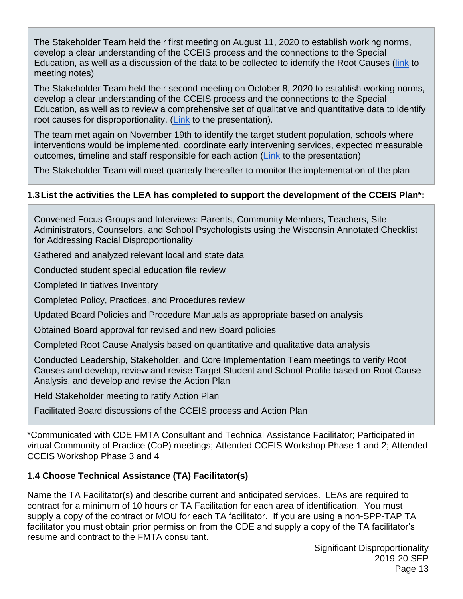The Stakeholder Team held their first meeting on August 11, 2020 to establish working norms, develop a clear understanding of the CCEIS process and the connections to the Special Education, as well as a discussion of the data to be collected to identify the Root Causes [\(link](https://drive.google.com/file/d/1ieIXTnB43Cbmh8CbfRyFtDomv2XsGgtG/view?usp=sharing) to meeting notes)

The Stakeholder Team held their second meeting on October 8, 2020 to establish working norms, develop a clear understanding of the CCEIS process and the connections to the Special Education, as well as to review a comprehensive set of qualitative and quantitative data to identify root causes for disproportionality. [\(Link](https://docs.google.com/presentation/d/1g_a5EdVgo1LCNdWwHwgW2Ln5xrA2SLV518Klne26qS4/edit?usp=sharing) to the presentation).

The team met again on November 19th to identify the target student population, schools where interventions would be implemented, coordinate early intervening services, expected measurable outcomes, timeline and staff responsible for each action [\(Link](https://docs.google.com/presentation/d/1nvEwgiZOya3aVJnso5XCz_BftGvLrLGJmryay33OstA/edit?usp=sharing) to the presentation)

The Stakeholder Team will meet quarterly thereafter to monitor the implementation of the plan

## **1.3List the activities the LEA has completed to support the development of the CCEIS Plan\*:**

Convened Focus Groups and Interviews: Parents, Community Members, Teachers, Site Administrators, Counselors, and School Psychologists using the Wisconsin Annotated Checklist for Addressing Racial Disproportionality

Gathered and analyzed relevant local and state data

Conducted student special education file review

Completed Initiatives Inventory

Completed Policy, Practices, and Procedures review

Updated Board Policies and Procedure Manuals as appropriate based on analysis

Obtained Board approval for revised and new Board policies

Completed Root Cause Analysis based on quantitative and qualitative data analysis

Conducted Leadership, Stakeholder, and Core Implementation Team meetings to verify Root Causes and develop, review and revise Target Student and School Profile based on Root Cause Analysis, and develop and revise the Action Plan

Held Stakeholder meeting to ratify Action Plan

Facilitated Board discussions of the CCEIS process and Action Plan

\*Communicated with CDE FMTA Consultant and Technical Assistance Facilitator; Participated in virtual Community of Practice (CoP) meetings; Attended CCEIS Workshop Phase 1 and 2; Attended CCEIS Workshop Phase 3 and 4

## **1.4 Choose Technical Assistance (TA) Facilitator(s)**

Name the TA Facilitator(s) and describe current and anticipated services. LEAs are required to contract for a minimum of 10 hours or TA Facilitation for each area of identification. You must supply a copy of the contract or MOU for each TA facilitator. If you are using a non-SPP-TAP TA facilitator you must obtain prior permission from the CDE and supply a copy of the TA facilitator's resume and contract to the FMTA consultant.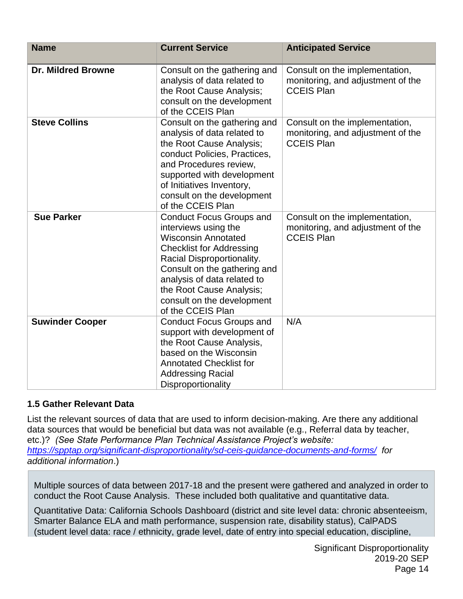| <b>Name</b>               | <b>Current Service</b>                                                                                                                                                                                                                                                                               | <b>Anticipated Service</b>                                                               |
|---------------------------|------------------------------------------------------------------------------------------------------------------------------------------------------------------------------------------------------------------------------------------------------------------------------------------------------|------------------------------------------------------------------------------------------|
| <b>Dr. Mildred Browne</b> | Consult on the gathering and<br>analysis of data related to<br>the Root Cause Analysis;<br>consult on the development<br>of the CCEIS Plan                                                                                                                                                           | Consult on the implementation,<br>monitoring, and adjustment of the<br><b>CCEIS Plan</b> |
| <b>Steve Collins</b>      | Consult on the gathering and<br>analysis of data related to<br>the Root Cause Analysis;<br>conduct Policies, Practices,<br>and Procedures review,<br>supported with development<br>of Initiatives Inventory,<br>consult on the development<br>of the CCEIS Plan                                      | Consult on the implementation,<br>monitoring, and adjustment of the<br><b>CCEIS Plan</b> |
| <b>Sue Parker</b>         | <b>Conduct Focus Groups and</b><br>interviews using the<br><b>Wisconsin Annotated</b><br><b>Checklist for Addressing</b><br>Racial Disproportionality.<br>Consult on the gathering and<br>analysis of data related to<br>the Root Cause Analysis;<br>consult on the development<br>of the CCEIS Plan | Consult on the implementation,<br>monitoring, and adjustment of the<br><b>CCEIS Plan</b> |
| <b>Suwinder Cooper</b>    | <b>Conduct Focus Groups and</b><br>support with development of<br>the Root Cause Analysis,<br>based on the Wisconsin<br><b>Annotated Checklist for</b><br><b>Addressing Racial</b><br>Disproportionality                                                                                             | N/A                                                                                      |

#### **1.5 Gather Relevant Data**

List the relevant sources of data that are used to inform decision-making. Are there any additional data sources that would be beneficial but data was not available (e.g., Referral data by teacher, etc.)? *(See State Performance Plan Technical Assistance Project's website: <https://spptap.org/significant-disproportionality/sd-ceis-guidance-documents-and-forms/>for additional information*.)

Multiple sources of data between 2017-18 and the present were gathered and analyzed in order to conduct the Root Cause Analysis. These included both qualitative and quantitative data.

Quantitative Data: California Schools Dashboard (district and site level data: chronic absenteeism, Smarter Balance ELA and math performance, suspension rate, disability status), CalPADS (student level data: race / ethnicity, grade level, date of entry into special education, discipline,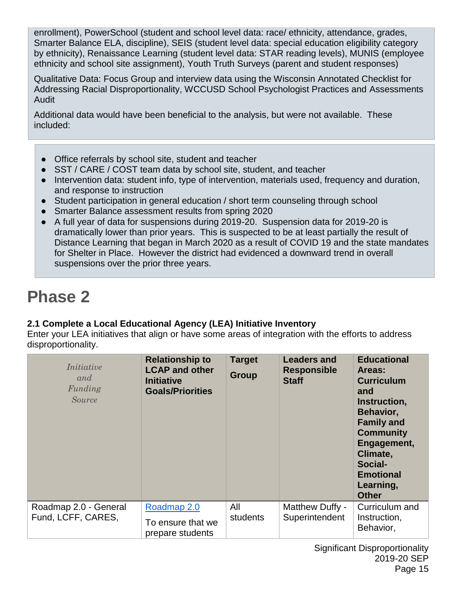enrollment), PowerSchool (student and school level data: race/ ethnicity, attendance, grades, Smarter Balance ELA, discipline), SEIS (student level data: special education eligibility category by ethnicity), Renaissance Learning (student level data: STAR reading levels), MUNIS (employee ethnicity and school site assignment), Youth Truth Surveys (parent and student responses)

Qualitative Data: Focus Group and interview data using the Wisconsin Annotated Checklist for Addressing Racial Disproportionality, WCCUSD School Psychologist Practices and Assessments Audit

Additional data would have been beneficial to the analysis, but were not available. These included:

- Office referrals by school site, student and teacher
- SST / CARE / COST team data by school site, student, and teacher
- Intervention data: student info, type of intervention, materials used, frequency and duration, and response to instruction
- Student participation in general education / short term counseling through school
- Smarter Balance assessment results from spring 2020
- A full year of data for suspensions during 2019-20. Suspension data for 2019-20 is dramatically lower than prior years. This is suspected to be at least partially the result of Distance Learning that began in March 2020 as a result of COVID 19 and the state mandates for Shelter in Place. However the district had evidenced a downward trend in overall suspensions over the prior three years.

## **Phase 2**

## **2.1 Complete a Local Educational Agency (LEA) Initiative Inventory**

Enter your LEA initiatives that align or have some areas of integration with the efforts to address disproportionality.

| Initiative<br>and<br>Funding<br><i>Source</i> | <b>Relationship to</b><br><b>LCAP and other</b><br><b>Initiative</b><br><b>Goals/Priorities</b> | <b>Target</b><br><b>Group</b> | <b>Leaders and</b><br><b>Responsible</b><br><b>Staff</b> | <b>Educational</b><br>Areas:<br><b>Curriculum</b><br>and<br>Instruction,<br>Behavior,<br><b>Family and</b><br><b>Community</b><br>Engagement,<br>Climate,<br>Social-<br><b>Emotional</b><br>Learning,<br><b>Other</b> |
|-----------------------------------------------|-------------------------------------------------------------------------------------------------|-------------------------------|----------------------------------------------------------|-----------------------------------------------------------------------------------------------------------------------------------------------------------------------------------------------------------------------|
| Roadmap 2.0 - General<br>Fund, LCFF, CARES,   | Roadmap 2.0<br>To ensure that we<br>prepare students                                            | All<br>students               | Matthew Duffy -<br>Superintendent                        | Curriculum and<br>Instruction,<br>Behavior,                                                                                                                                                                           |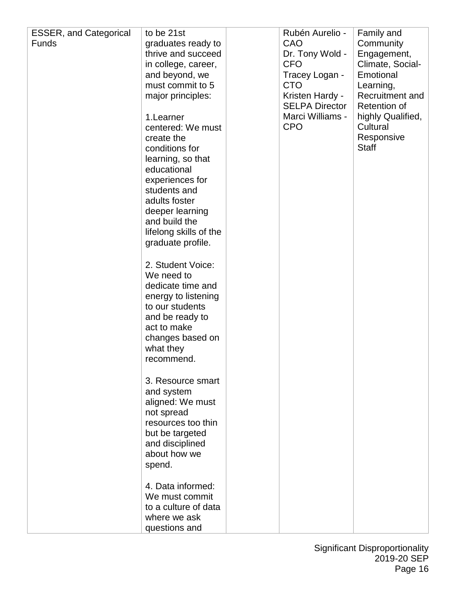| <b>ESSER, and Categorical</b> | to be 21st                            | Rubén Aurelio -               | Family and                   |
|-------------------------------|---------------------------------------|-------------------------------|------------------------------|
| <b>Funds</b>                  | graduates ready to                    | <b>CAO</b>                    | Community                    |
|                               | thrive and succeed                    | Dr. Tony Wold -               | Engagement,                  |
|                               | in college, career,                   | <b>CFO</b>                    | Climate, Social-             |
|                               | and beyond, we                        | Tracey Logan -                | Emotional                    |
|                               | must commit to 5<br>major principles: | <b>CTO</b><br>Kristen Hardy - | Learning,<br>Recruitment and |
|                               |                                       | <b>SELPA Director</b>         | Retention of                 |
|                               | 1.Learner                             | Marci Williams -              | highly Qualified,            |
|                               | centered: We must                     | <b>CPO</b>                    | Cultural                     |
|                               | create the                            |                               | Responsive                   |
|                               | conditions for                        |                               | <b>Staff</b>                 |
|                               | learning, so that                     |                               |                              |
|                               | educational<br>experiences for        |                               |                              |
|                               | students and                          |                               |                              |
|                               | adults foster                         |                               |                              |
|                               | deeper learning                       |                               |                              |
|                               | and build the                         |                               |                              |
|                               | lifelong skills of the                |                               |                              |
|                               | graduate profile.                     |                               |                              |
|                               | 2. Student Voice:                     |                               |                              |
|                               | We need to                            |                               |                              |
|                               | dedicate time and                     |                               |                              |
|                               | energy to listening                   |                               |                              |
|                               | to our students                       |                               |                              |
|                               | and be ready to<br>act to make        |                               |                              |
|                               | changes based on                      |                               |                              |
|                               | what they                             |                               |                              |
|                               | recommend.                            |                               |                              |
|                               |                                       |                               |                              |
|                               | 3. Resource smart                     |                               |                              |
|                               | and system                            |                               |                              |
|                               | aligned: We must<br>not spread        |                               |                              |
|                               | resources too thin                    |                               |                              |
|                               | but be targeted                       |                               |                              |
|                               | and disciplined                       |                               |                              |
|                               | about how we                          |                               |                              |
|                               | spend.                                |                               |                              |
|                               | 4. Data informed:                     |                               |                              |
|                               | We must commit                        |                               |                              |
|                               | to a culture of data                  |                               |                              |
|                               | where we ask                          |                               |                              |
|                               | questions and                         |                               |                              |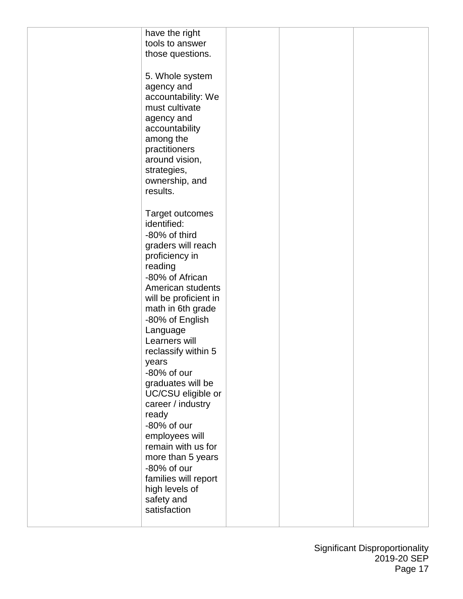| have the right        |  |  |
|-----------------------|--|--|
| tools to answer       |  |  |
|                       |  |  |
| those questions.      |  |  |
|                       |  |  |
| 5. Whole system       |  |  |
| agency and            |  |  |
|                       |  |  |
| accountability: We    |  |  |
| must cultivate        |  |  |
| agency and            |  |  |
| accountability        |  |  |
| among the             |  |  |
|                       |  |  |
| practitioners         |  |  |
| around vision,        |  |  |
| strategies,           |  |  |
| ownership, and        |  |  |
| results.              |  |  |
|                       |  |  |
|                       |  |  |
| Target outcomes       |  |  |
| identified:           |  |  |
| -80% of third         |  |  |
| graders will reach    |  |  |
| proficiency in        |  |  |
|                       |  |  |
| reading               |  |  |
| -80% of African       |  |  |
| American students     |  |  |
| will be proficient in |  |  |
| math in 6th grade     |  |  |
|                       |  |  |
| -80% of English       |  |  |
| Language              |  |  |
| Learners will         |  |  |
| reclassify within 5   |  |  |
| years                 |  |  |
| -80% of our           |  |  |
| graduates will be     |  |  |
|                       |  |  |
| UC/CSU eligible or    |  |  |
| career / industry     |  |  |
| ready                 |  |  |
| -80% of our           |  |  |
| employees will        |  |  |
| remain with us for    |  |  |
|                       |  |  |
| more than 5 years     |  |  |
| -80% of our           |  |  |
| families will report  |  |  |
| high levels of        |  |  |
| safety and            |  |  |
| satisfaction          |  |  |
|                       |  |  |
|                       |  |  |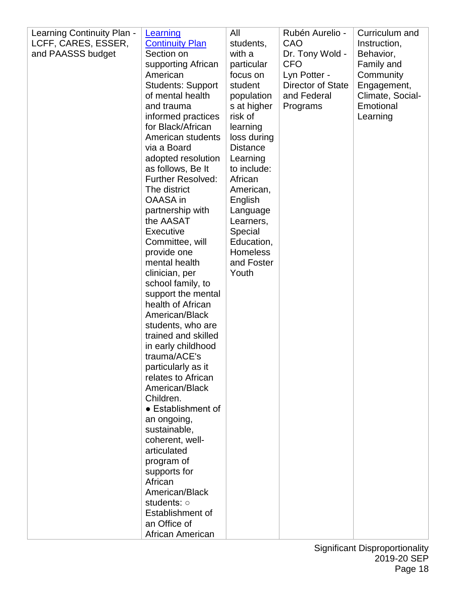| Learning Continuity Plan - | Learning                 | All             | Rubén Aurelio -   | Curriculum and   |
|----------------------------|--------------------------|-----------------|-------------------|------------------|
| LCFF, CARES, ESSER,        | <b>Continuity Plan</b>   | students,       | CAO               | Instruction,     |
| and PAASSS budget          | Section on               | with a          | Dr. Tony Wold -   | Behavior,        |
|                            | supporting African       | particular      | <b>CFO</b>        | Family and       |
|                            | American                 | focus on        | Lyn Potter -      | Community        |
|                            | <b>Students: Support</b> | student         | Director of State | Engagement,      |
|                            | of mental health         | population      | and Federal       | Climate, Social- |
|                            | and trauma               | s at higher     | Programs          | Emotional        |
|                            | informed practices       | risk of         |                   | Learning         |
|                            | for Black/African        | learning        |                   |                  |
|                            | American students        | loss during     |                   |                  |
|                            | via a Board              | <b>Distance</b> |                   |                  |
|                            | adopted resolution       | Learning        |                   |                  |
|                            | as follows, Be It        | to include:     |                   |                  |
|                            | <b>Further Resolved:</b> | African         |                   |                  |
|                            | The district             | American,       |                   |                  |
|                            | OAASA in                 | English         |                   |                  |
|                            | partnership with         | Language        |                   |                  |
|                            | the AASAT                | Learners,       |                   |                  |
|                            | <b>Executive</b>         | Special         |                   |                  |
|                            | Committee, will          | Education,      |                   |                  |
|                            | provide one              | <b>Homeless</b> |                   |                  |
|                            | mental health            | and Foster      |                   |                  |
|                            | clinician, per           | Youth           |                   |                  |
|                            | school family, to        |                 |                   |                  |
|                            | support the mental       |                 |                   |                  |
|                            | health of African        |                 |                   |                  |
|                            | American/Black           |                 |                   |                  |
|                            | students, who are        |                 |                   |                  |
|                            | trained and skilled      |                 |                   |                  |
|                            | in early childhood       |                 |                   |                  |
|                            | trauma/ACE's             |                 |                   |                  |
|                            | particularly as it       |                 |                   |                  |
|                            | relates to African       |                 |                   |                  |
|                            | American/Black           |                 |                   |                  |
|                            | Children.                |                 |                   |                  |
|                            | • Establishment of       |                 |                   |                  |
|                            | an ongoing,              |                 |                   |                  |
|                            | sustainable,             |                 |                   |                  |
|                            | coherent, well-          |                 |                   |                  |
|                            | articulated              |                 |                   |                  |
|                            | program of               |                 |                   |                  |
|                            | supports for             |                 |                   |                  |
|                            | African                  |                 |                   |                  |
|                            | American/Black           |                 |                   |                  |
|                            | students: o              |                 |                   |                  |
|                            | Establishment of         |                 |                   |                  |
|                            | an Office of             |                 |                   |                  |
|                            | African American         |                 |                   |                  |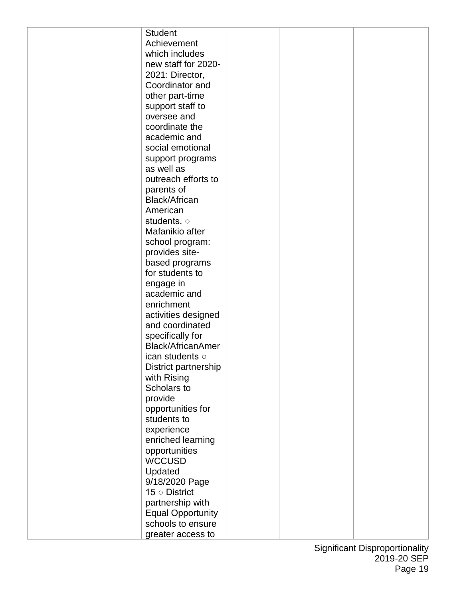| <b>Student</b>           |  |  |
|--------------------------|--|--|
| Achievement              |  |  |
| which includes           |  |  |
| new staff for 2020-      |  |  |
| 2021: Director,          |  |  |
| Coordinator and          |  |  |
|                          |  |  |
| other part-time          |  |  |
| support staff to         |  |  |
| oversee and              |  |  |
| coordinate the           |  |  |
| academic and             |  |  |
| social emotional         |  |  |
| support programs         |  |  |
| as well as               |  |  |
| outreach efforts to      |  |  |
| parents of               |  |  |
| <b>Black/African</b>     |  |  |
| American                 |  |  |
| students. o              |  |  |
| Mafanikio after          |  |  |
| school program:          |  |  |
| provides site-           |  |  |
| based programs           |  |  |
| for students to          |  |  |
| engage in                |  |  |
| academic and             |  |  |
| enrichment               |  |  |
| activities designed      |  |  |
| and coordinated          |  |  |
| specifically for         |  |  |
| <b>Black/AfricanAmer</b> |  |  |
| ican students o          |  |  |
| District partnership     |  |  |
| with Rising              |  |  |
| Scholars to              |  |  |
| provide                  |  |  |
| opportunities for        |  |  |
| students to              |  |  |
| experience               |  |  |
| enriched learning        |  |  |
| opportunities            |  |  |
| <b>WCCUSD</b>            |  |  |
| Updated                  |  |  |
| 9/18/2020 Page           |  |  |
| 15 $\circ$ District      |  |  |
| partnership with         |  |  |
| <b>Equal Opportunity</b> |  |  |
| schools to ensure        |  |  |
|                          |  |  |
| greater access to        |  |  |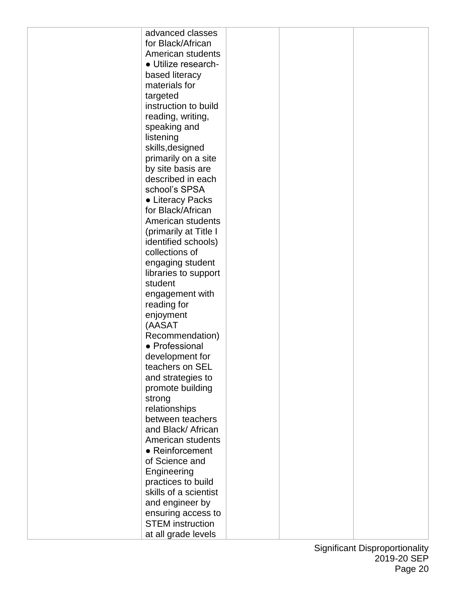| advanced classes        |  |  |
|-------------------------|--|--|
| for Black/African       |  |  |
| American students       |  |  |
| • Utilize research-     |  |  |
| based literacy          |  |  |
| materials for           |  |  |
| targeted                |  |  |
| instruction to build    |  |  |
| reading, writing,       |  |  |
| speaking and            |  |  |
| listening               |  |  |
| skills, designed        |  |  |
| primarily on a site     |  |  |
| by site basis are       |  |  |
| described in each       |  |  |
| school's SPSA           |  |  |
|                         |  |  |
| • Literacy Packs        |  |  |
| for Black/African       |  |  |
| American students       |  |  |
| (primarily at Title I   |  |  |
| identified schools)     |  |  |
| collections of          |  |  |
| engaging student        |  |  |
| libraries to support    |  |  |
| student                 |  |  |
| engagement with         |  |  |
| reading for             |  |  |
| enjoyment               |  |  |
| (AASAT                  |  |  |
| Recommendation)         |  |  |
| • Professional          |  |  |
| development for         |  |  |
| teachers on SEL         |  |  |
| and strategies to       |  |  |
| promote building        |  |  |
| strong                  |  |  |
| relationships           |  |  |
| between teachers        |  |  |
| and Black/ African      |  |  |
| American students       |  |  |
| $\bullet$ Reinforcement |  |  |
| of Science and          |  |  |
| Engineering             |  |  |
| practices to build      |  |  |
| skills of a scientist   |  |  |
| and engineer by         |  |  |
| ensuring access to      |  |  |
| <b>STEM</b> instruction |  |  |
| at all grade levels     |  |  |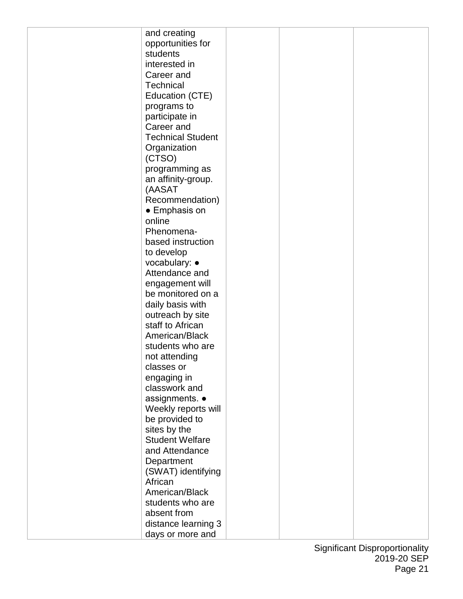|         | and creating             |  |  |
|---------|--------------------------|--|--|
|         | opportunities for        |  |  |
|         | students                 |  |  |
|         | interested in            |  |  |
|         |                          |  |  |
|         | Career and               |  |  |
|         | <b>Technical</b>         |  |  |
|         | Education (CTE)          |  |  |
|         | programs to              |  |  |
|         | participate in           |  |  |
|         | Career and               |  |  |
|         |                          |  |  |
|         | <b>Technical Student</b> |  |  |
|         | Organization             |  |  |
|         | (CTSO)                   |  |  |
|         | programming as           |  |  |
|         | an affinity-group.       |  |  |
|         | (AASAT                   |  |  |
|         |                          |  |  |
|         | Recommendation)          |  |  |
|         | • Emphasis on            |  |  |
| online  |                          |  |  |
|         | Phenomena-               |  |  |
|         | based instruction        |  |  |
|         | to develop               |  |  |
|         | vocabulary: $\bullet$    |  |  |
|         |                          |  |  |
|         | Attendance and           |  |  |
|         | engagement will          |  |  |
|         | be monitored on a        |  |  |
|         | daily basis with         |  |  |
|         | outreach by site         |  |  |
|         | staff to African         |  |  |
|         | American/Black           |  |  |
|         |                          |  |  |
|         | students who are         |  |  |
|         | not attending            |  |  |
|         | classes or               |  |  |
|         | engaging in              |  |  |
|         | classwork and            |  |  |
|         | assignments. •           |  |  |
|         | Weekly reports will      |  |  |
|         |                          |  |  |
|         | be provided to           |  |  |
|         | sites by the             |  |  |
|         | <b>Student Welfare</b>   |  |  |
|         | and Attendance           |  |  |
|         | Department               |  |  |
|         | (SWAT) identifying       |  |  |
| African |                          |  |  |
|         | American/Black           |  |  |
|         |                          |  |  |
|         | students who are         |  |  |
|         | absent from              |  |  |
|         | distance learning 3      |  |  |
|         | days or more and         |  |  |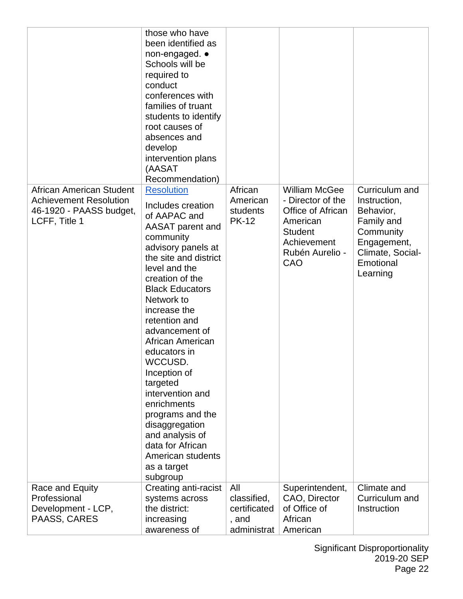|                                                                                                       | those who have<br>been identified as<br>non-engaged. •<br>Schools will be<br>required to<br>conduct<br>conferences with<br>families of truant<br>students to identify<br>root causes of<br>absences and<br>develop<br>intervention plans<br>(AASAT<br>Recommendation)                                                                                                                                                                                                                                            |                                                            |                                                                                                                                       |                                                                                                                                    |
|-------------------------------------------------------------------------------------------------------|------------------------------------------------------------------------------------------------------------------------------------------------------------------------------------------------------------------------------------------------------------------------------------------------------------------------------------------------------------------------------------------------------------------------------------------------------------------------------------------------------------------|------------------------------------------------------------|---------------------------------------------------------------------------------------------------------------------------------------|------------------------------------------------------------------------------------------------------------------------------------|
| African American Student<br><b>Achievement Resolution</b><br>46-1920 - PAASS budget,<br>LCFF, Title 1 | <b>Resolution</b><br>Includes creation<br>of AAPAC and<br>AASAT parent and<br>community<br>advisory panels at<br>the site and district<br>level and the<br>creation of the<br><b>Black Educators</b><br>Network to<br>increase the<br>retention and<br>advancement of<br>African American<br>educators in<br>WCCUSD.<br>Inception of<br>targeted<br>intervention and<br>enrichments<br>programs and the<br>disaggregation<br>and analysis of<br>data for African<br>American students<br>as a target<br>subgroup | African<br>American<br>students<br><b>PK-12</b>            | <b>William McGee</b><br>- Director of the<br>Office of African<br>American<br><b>Student</b><br>Achievement<br>Rubén Aurelio -<br>CAO | Curriculum and<br>Instruction,<br>Behavior,<br>Family and<br>Community<br>Engagement,<br>Climate, Social-<br>Emotional<br>Learning |
| Race and Equity<br>Professional<br>Development - LCP,<br>PAASS, CARES                                 | Creating anti-racist<br>systems across<br>the district:<br>increasing<br>awareness of                                                                                                                                                                                                                                                                                                                                                                                                                            | All<br>classified,<br>certificated<br>, and<br>administrat | Superintendent,<br>CAO, Director<br>of Office of<br>African<br>American                                                               | Climate and<br>Curriculum and<br>Instruction                                                                                       |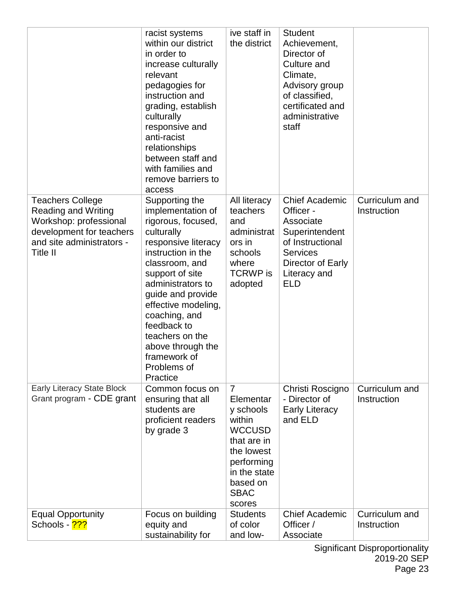|                                                                                                                                                      | racist systems<br>within our district<br>in order to<br>increase culturally<br>relevant<br>pedagogies for<br>instruction and<br>grading, establish<br>culturally<br>responsive and<br>anti-racist<br>relationships<br>between staff and<br>with families and<br>remove barriers to<br>access                                                  | ive staff in<br>the district                                                                                                                                        | <b>Student</b><br>Achievement,<br>Director of<br>Culture and<br>Climate,<br>Advisory group<br>of classified,<br>certificated and<br>administrative<br>staff |                               |
|------------------------------------------------------------------------------------------------------------------------------------------------------|-----------------------------------------------------------------------------------------------------------------------------------------------------------------------------------------------------------------------------------------------------------------------------------------------------------------------------------------------|---------------------------------------------------------------------------------------------------------------------------------------------------------------------|-------------------------------------------------------------------------------------------------------------------------------------------------------------|-------------------------------|
| <b>Teachers College</b><br><b>Reading and Writing</b><br>Workshop: professional<br>development for teachers<br>and site administrators -<br>Title II | Supporting the<br>implementation of<br>rigorous, focused,<br>culturally<br>responsive literacy<br>instruction in the<br>classroom, and<br>support of site<br>administrators to<br>guide and provide<br>effective modeling,<br>coaching, and<br>feedback to<br>teachers on the<br>above through the<br>framework of<br>Problems of<br>Practice | All literacy<br>teachers<br>and<br>administrat<br>ors in<br>schools<br>where<br><b>TCRWP</b> is<br>adopted                                                          | <b>Chief Academic</b><br>Officer -<br>Associate<br>Superintendent<br>of Instructional<br><b>Services</b><br>Director of Early<br>Literacy and<br><b>ELD</b> | Curriculum and<br>Instruction |
| <b>Early Literacy State Block</b><br>Grant program - CDE grant                                                                                       | Common focus on<br>ensuring that all<br>students are<br>proficient readers<br>by grade 3                                                                                                                                                                                                                                                      | $\overline{7}$<br>Elementar<br>y schools<br>within<br><b>WCCUSD</b><br>that are in<br>the lowest<br>performing<br>in the state<br>based on<br><b>SBAC</b><br>scores | Christi Roscigno<br>- Director of<br><b>Early Literacy</b><br>and ELD                                                                                       | Curriculum and<br>Instruction |
| <b>Equal Opportunity</b><br>Schools - 2??                                                                                                            | Focus on building<br>equity and<br>sustainability for                                                                                                                                                                                                                                                                                         | <b>Students</b><br>of color<br>and low-                                                                                                                             | <b>Chief Academic</b><br>Officer /<br>Associate                                                                                                             | Curriculum and<br>Instruction |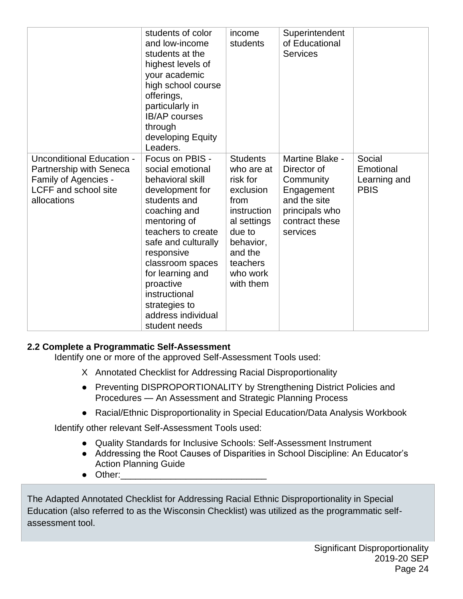|                                                                                                                                   | students of color<br>and low-income<br>students at the<br>highest levels of<br>your academic<br>high school course<br>offerings,<br>particularly in<br><b>IB/AP</b> courses<br>through<br>developing Equity<br>Leaders.                                                                                             | income<br>students                                                                                                                                                  | Superintendent<br>of Educational<br><b>Services</b>                                                                       |                                                    |
|-----------------------------------------------------------------------------------------------------------------------------------|---------------------------------------------------------------------------------------------------------------------------------------------------------------------------------------------------------------------------------------------------------------------------------------------------------------------|---------------------------------------------------------------------------------------------------------------------------------------------------------------------|---------------------------------------------------------------------------------------------------------------------------|----------------------------------------------------|
| <b>Unconditional Education -</b><br>Partnership with Seneca<br>Family of Agencies -<br><b>LCFF</b> and school site<br>allocations | Focus on PBIS -<br>social emotional<br>behavioral skill<br>development for<br>students and<br>coaching and<br>mentoring of<br>teachers to create<br>safe and culturally<br>responsive<br>classroom spaces<br>for learning and<br>proactive<br>instructional<br>strategies to<br>address individual<br>student needs | <b>Students</b><br>who are at<br>risk for<br>exclusion<br>from<br>instruction<br>al settings<br>due to<br>behavior,<br>and the<br>teachers<br>who work<br>with them | Martine Blake -<br>Director of<br>Community<br>Engagement<br>and the site<br>principals who<br>contract these<br>services | Social<br>Emotional<br>Learning and<br><b>PBIS</b> |

#### **2.2 Complete a Programmatic Self-Assessment**

Identify one or more of the approved Self-Assessment Tools used:

- X Annotated Checklist for Addressing Racial Disproportionality
- Preventing DISPROPORTIONALITY by Strengthening District Policies and Procedures — An Assessment and Strategic Planning Process
- Racial/Ethnic Disproportionality in Special Education/Data Analysis Workbook

Identify other relevant Self-Assessment Tools used:

- Quality Standards for Inclusive Schools: Self-Assessment Instrument
- Addressing the Root Causes of Disparities in School Discipline: An Educator's Action Planning Guide
- Other:

The Adapted Annotated Checklist for Addressing Racial Ethnic Disproportionality in Special Education (also referred to as the Wisconsin Checklist) was utilized as the programmatic selfassessment tool.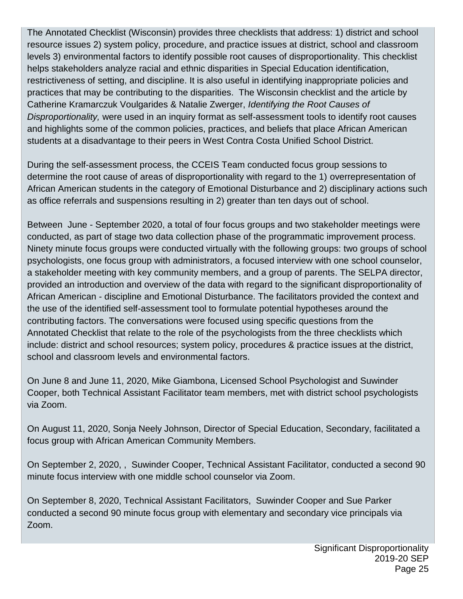The Annotated Checklist (Wisconsin) provides three checklists that address: 1) district and school resource issues 2) system policy, procedure, and practice issues at district, school and classroom levels 3) environmental factors to identify possible root causes of disproportionality. This checklist helps stakeholders analyze racial and ethnic disparities in Special Education identification, restrictiveness of setting, and discipline. It is also useful in identifying inappropriate policies and practices that may be contributing to the disparities. The Wisconsin checklist and the article by Catherine Kramarczuk Voulgarides & Natalie Zwerger, *Identifying the Root Causes of Disproportionality,* were used in an inquiry format as self-assessment tools to identify root causes and highlights some of the common policies, practices, and beliefs that place African American students at a disadvantage to their peers in West Contra Costa Unified School District.

During the self-assessment process, the CCEIS Team conducted focus group sessions to determine the root cause of areas of disproportionality with regard to the 1) overrepresentation of African American students in the category of Emotional Disturbance and 2) disciplinary actions such as office referrals and suspensions resulting in 2) greater than ten days out of school.

Between June - September 2020, a total of four focus groups and two stakeholder meetings were conducted, as part of stage two data collection phase of the programmatic improvement process. Ninety minute focus groups were conducted virtually with the following groups: two groups of school psychologists, one focus group with administrators, a focused interview with one school counselor, a stakeholder meeting with key community members, and a group of parents. The SELPA director, provided an introduction and overview of the data with regard to the significant disproportionality of African American - discipline and Emotional Disturbance. The facilitators provided the context and the use of the identified self-assessment tool to formulate potential hypotheses around the contributing factors. The conversations were focused using specific questions from the Annotated Checklist that relate to the role of the psychologists from the three checklists which include: district and school resources; system policy, procedures & practice issues at the district, school and classroom levels and environmental factors.

On June 8 and June 11, 2020, Mike Giambona, Licensed School Psychologist and Suwinder Cooper, both Technical Assistant Facilitator team members, met with district school psychologists via Zoom.

On August 11, 2020, Sonja Neely Johnson, Director of Special Education, Secondary, facilitated a focus group with African American Community Members.

On September 2, 2020, , Suwinder Cooper, Technical Assistant Facilitator, conducted a second 90 minute focus interview with one middle school counselor via Zoom.

On September 8, 2020, Technical Assistant Facilitators, Suwinder Cooper and Sue Parker conducted a second 90 minute focus group with elementary and secondary vice principals via Zoom.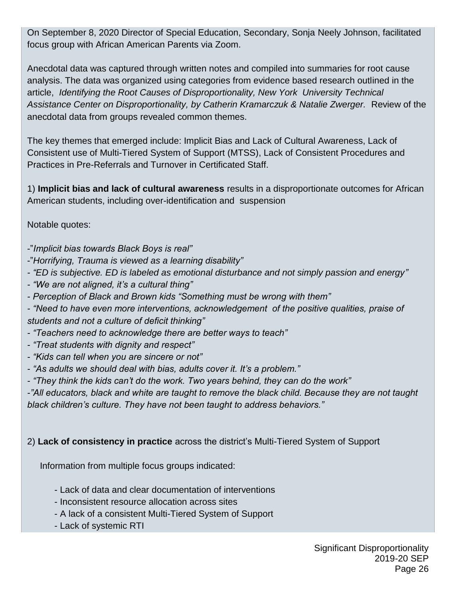On September 8, 2020 Director of Special Education, Secondary, Sonja Neely Johnson, facilitated focus group with African American Parents via Zoom.

Anecdotal data was captured through written notes and compiled into summaries for root cause analysis. The data was organized using categories from evidence based research outlined in the article, *Identifying the Root Causes of Disproportionality, New York University Technical Assistance Center on Disproportionality, by Catherin Kramarczuk & Natalie Zwerger.* Review of the anecdotal data from groups revealed common themes.

The key themes that emerged include: Implicit Bias and Lack of Cultural Awareness, Lack of Consistent use of Multi-Tiered System of Support (MTSS), Lack of Consistent Procedures and Practices in Pre-Referrals and Turnover in Certificated Staff.

1) **Implicit bias and lack of cultural awareness** results in a disproportionate outcomes for African American students, including over-identification and suspension

Notable quotes:

- -"*Implicit bias towards Black Boys is real"*
- -"*Horrifying, Trauma is viewed as a learning disability"*
- *- "ED is subjective. ED is labeled as emotional disturbance and not simply passion and energy"*
- *- "We are not aligned, it's a cultural thing"*
- *- Perception of Black and Brown kids "Something must be wrong with them"*
- *- "Need to have even more interventions, acknowledgement of the positive qualities, praise of students and not a culture of deficit thinking"*
- *- "Teachers need to acknowledge there are better ways to teach"*
- *- "Treat students with dignity and respect"*
- *- "Kids can tell when you are sincere or not"*
- *- "As adults we should deal with bias, adults cover it. It's a problem."*
- *- "They think the kids can't do the work. Two years behind, they can do the work"*

*-"All educators, black and white are taught to remove the black child. Because they are not taught black children's culture. They have not been taught to address behaviors."*

## 2) **Lack of consistency in practice** across the district's Multi-Tiered System of Support

Information from multiple focus groups indicated:

- Lack of data and clear documentation of interventions
- Inconsistent resource allocation across sites
- A lack of a consistent Multi-Tiered System of Support
- Lack of systemic RTI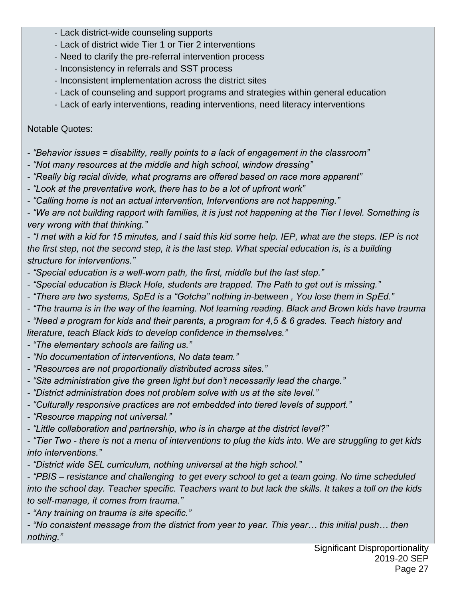- Lack district-wide counseling supports
- Lack of district wide Tier 1 or Tier 2 interventions
- Need to clarify the pre-referral intervention process
- Inconsistency in referrals and SST process
- Inconsistent implementation across the district sites
- Lack of counseling and support programs and strategies within general education
- Lack of early interventions, reading interventions, need literacy interventions

Notable Quotes:

- *- "Behavior issues = disability, really points to a lack of engagement in the classroom"*
- *- "Not many resources at the middle and high school, window dressing"*
- *- "Really big racial divide, what programs are offered based on race more apparent"*
- *- "Look at the preventative work, there has to be a lot of upfront work"*
- *- "Calling home is not an actual intervention, Interventions are not happening."*

*- "We are not building rapport with families, it is just not happening at the Tier I level. Something is very wrong with that thinking."*

*- "I met with a kid for 15 minutes, and I said this kid some help. IEP, what are the steps. IEP is not the first step, not the second step, it is the last step. What special education is, is a building structure for interventions."*

- *- "Special education is a well-worn path, the first, middle but the last step."*
- *- "Special education is Black Hole, students are trapped. The Path to get out is missing."*
- *- "There are two systems, SpEd is a "Gotcha" nothing in-between , You lose them in SpEd."*
- *- "The trauma is in the way of the learning. Not learning reading. Black and Brown kids have trauma*

*- "Need a program for kids and their parents, a program for 4,5 & 6 grades. Teach history and literature, teach Black kids to develop confidence in themselves."*

- *- "The elementary schools are failing us."*
- *- "No documentation of interventions, No data team."*
- *- "Resources are not proportionally distributed across sites."*
- *- "Site administration give the green light but don't necessarily lead the charge."*
- *- "District administration does not problem solve with us at the site level."*
- *- "Culturally responsive practices are not embedded into tiered levels of support."*
- *- "Resource mapping not universal."*
- *- "Little collaboration and partnership, who is in charge at the district level?"*

*- "Tier Two - there is not a menu of interventions to plug the kids into. We are struggling to get kids into interventions."*

*- "District wide SEL curriculum, nothing universal at the high school."*

*- "PBIS – resistance and challenging to get every school to get a team going. No time scheduled into the school day. Teacher specific. Teachers want to but lack the skills. It takes a toll on the kids to self-manage, it comes from trauma."*

*- "Any training on trauma is site specific."*

*- "No consistent message from the district from year to year. This year… this initial push… then nothing."*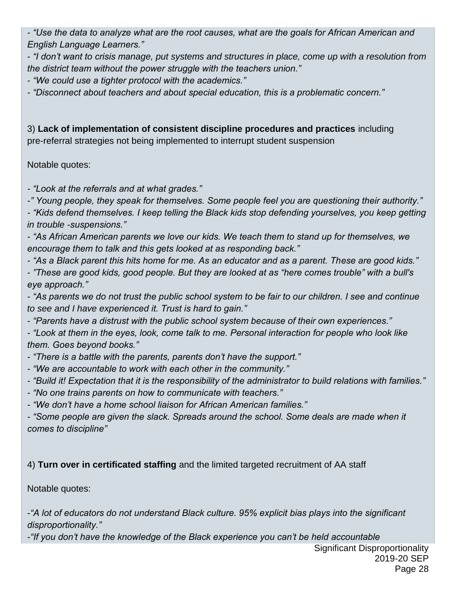*- "Use the data to analyze what are the root causes, what are the goals for African American and English Language Learners."*

*- "I don't want to crisis manage, put systems and structures in place, come up with a resolution from the district team without the power struggle with the teachers union."*

*- "We could use a tighter protocol with the academics."*

*- "Disconnect about teachers and about special education, this is a problematic concern."*

3) **Lack of implementation of consistent discipline procedures and practices** including pre-referral strategies not being implemented to interrupt student suspension

### Notable quotes:

*- "Look at the referrals and at what grades."*

*-" Young people, they speak for themselves. Some people feel you are questioning their authority."*

*- "Kids defend themselves. I keep telling the Black kids stop defending yourselves, you keep getting in trouble -suspensions."*

*- "As African American parents we love our kids. We teach them to stand up for themselves, we encourage them to talk and this gets looked at as responding back."*

*- "As a Black parent this hits home for me. As an educator and as a parent. These are good kids."*

*- "These are good kids, good people. But they are looked at as "here comes trouble" with a bull's eye approach."*

*- "As parents we do not trust the public school system to be fair to our children. I see and continue to see and I have experienced it. Trust is hard to gain."*

*- "Parents have a distrust with the public school system because of their own experiences."*

*- "Look at them in the eyes, look, come talk to me. Personal interaction for people who look like them. Goes beyond books."*

*- "There is a battle with the parents, parents don't have the support."*

*- "We are accountable to work with each other in the community."*

*- "Build it! Expectation that it is the responsibility of the administrator to build relations with families."*

*- "No one trains parents on how to communicate with teachers."*

*- "We don't have a home school liaison for African American families."*

*- "Some people are given the slack. Spreads around the school. Some deals are made when it comes to discipline"*

4) **Turn over in certificated staffing** and the limited targeted recruitment of AA staff

Notable quotes:

*-"A lot of educators do not understand Black culture. 95% explicit bias plays into the significant disproportionality."*

*-"If you don't have the knowledge of the Black experience you can't be held accountable*

Significant Disproportionality 2019-20 SEP Page 28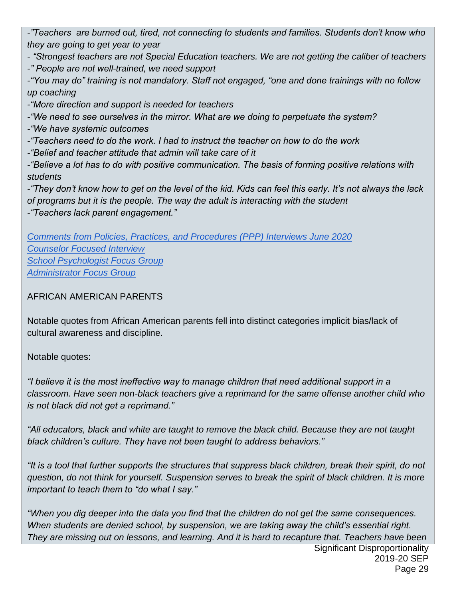*-"Teachers are burned out, tired, not connecting to students and families. Students don't know who they are going to get year to year*

*- "Strongest teachers are not Special Education teachers. We are not getting the caliber of teachers*

*-" People are not well-trained, we need support*

*-"You may do" training is not mandatory. Staff not engaged, "one and done trainings with no follow up coaching*

*-"More direction and support is needed for teachers* 

*-"We need to see ourselves in the mirror. What are we doing to perpetuate the system?* 

*-"We have systemic outcomes*

*-"Teachers need to do the work. I had to instruct the teacher on how to do the work*

*-"Belief and teacher attitude that admin will take care of it*

*-"Believe a lot has to do with positive communication. The basis of forming positive relations with students*

*-"They don't know how to get on the level of the kid. Kids can feel this early. It's not always the lack of programs but it is the people. The way the adult is interacting with the student*

*-"Teachers lack parent engagement."*

*[Comments from Policies, Practices, and Procedures \(PPP\) Interviews June 2020](https://docs.google.com/document/d/1WchaiaVJkPQi46beVF-6Bcnz73a8o3QjlJcTZx95dEg/edit?usp=sharing) [Counselor Focused Interview](https://drive.google.com/file/d/15rNLDz2PVhXJz0w2rdqDMTgsaESJy78e/view?usp=sharing) [School Psychologist Focus Group](https://drive.google.com/file/d/14L7M-yKKV2DiWjnrlYStCPAD9AyyueZh/view?usp=sharing) [Administrator Focus Group](https://drive.google.com/file/d/11Sdk6NC4zKLwIqSb0pky0gBARyl28lv1/view?usp=sharing)*

## AFRICAN AMERICAN PARENTS

Notable quotes from African American parents fell into distinct categories implicit bias/lack of cultural awareness and discipline.

Notable quotes:

*"I believe it is the most ineffective way to manage children that need additional support in a classroom. Have seen non-black teachers give a reprimand for the same offense another child who is not black did not get a reprimand."*

*"All educators, black and white are taught to remove the black child. Because they are not taught black children's culture. They have not been taught to address behaviors."*

*"It is a tool that further supports the structures that suppress black children, break their spirit, do not question, do not think for yourself. Suspension serves to break the spirit of black children. It is more important to teach them to "do what I say."*

Significant Disproportionality 2019-20 SEP *"When you dig deeper into the data you find that the children do not get the same consequences. When students are denied school, by suspension, we are taking away the child's essential right. They are missing out on lessons, and learning. And it is hard to recapture that. Teachers have been*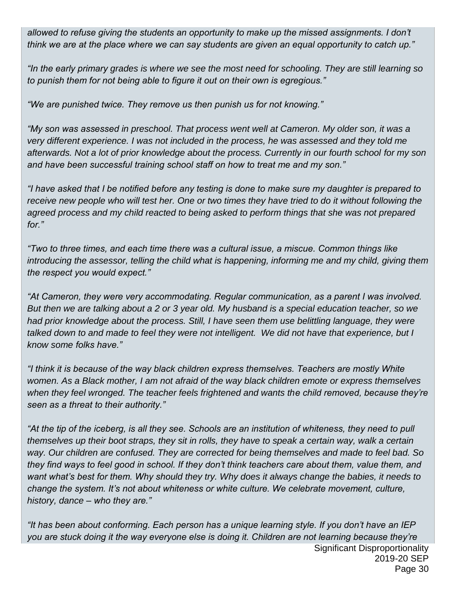*allowed to refuse giving the students an opportunity to make up the missed assignments. I don't think we are at the place where we can say students are given an equal opportunity to catch up."*

*"In the early primary grades is where we see the most need for schooling. They are still learning so to punish them for not being able to figure it out on their own is egregious."*

*"We are punished twice. They remove us then punish us for not knowing."*

*"My son was assessed in preschool. That process went well at Cameron. My older son, it was a very different experience. I was not included in the process, he was assessed and they told me afterwards. Not a lot of prior knowledge about the process. Currently in our fourth school for my son and have been successful training school staff on how to treat me and my son."*

*"I have asked that I be notified before any testing is done to make sure my daughter is prepared to receive new people who will test her. One or two times they have tried to do it without following the agreed process and my child reacted to being asked to perform things that she was not prepared for."*

*"Two to three times, and each time there was a cultural issue, a miscue. Common things like introducing the assessor, telling the child what is happening, informing me and my child, giving them the respect you would expect."*

*"At Cameron, they were very accommodating. Regular communication, as a parent I was involved. But then we are talking about a 2 or 3 year old. My husband is a special education teacher, so we had prior knowledge about the process. Still, I have seen them use belittling language, they were talked down to and made to feel they were not intelligent. We did not have that experience, but I know some folks have."*

*"I think it is because of the way black children express themselves. Teachers are mostly White women. As a Black mother, I am not afraid of the way black children emote or express themselves when they feel wronged. The teacher feels frightened and wants the child removed, because they're seen as a threat to their authority."*

*"At the tip of the iceberg, is all they see. Schools are an institution of whiteness, they need to pull themselves up their boot straps, they sit in rolls, they have to speak a certain way, walk a certain way. Our children are confused. They are corrected for being themselves and made to feel bad. So they find ways to feel good in school. If they don't think teachers care about them, value them, and want what's best for them. Why should they try. Why does it always change the babies, it needs to change the system. It's not about whiteness or white culture. We celebrate movement, culture, history, dance – who they are."*

Significant Disproportionality 2019-20 SEP Page 30 *"It has been about conforming. Each person has a unique learning style. If you don't have an IEP you are stuck doing it the way everyone else is doing it. Children are not learning because they're*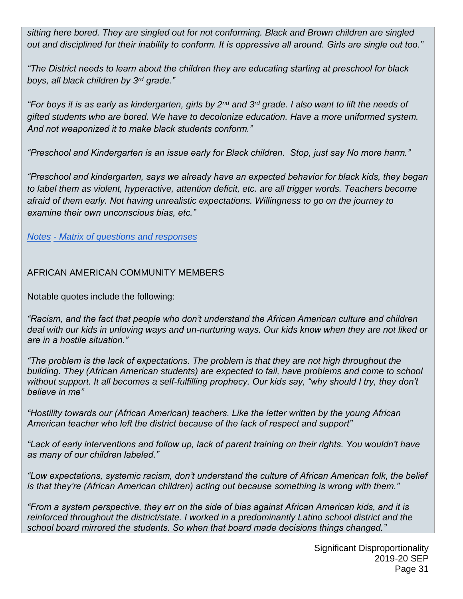*sitting here bored. They are singled out for not conforming. Black and Brown children are singled out and disciplined for their inability to conform. It is oppressive all around. Girls are single out too."*

*"The District needs to learn about the children they are educating starting at preschool for black boys, all black children by 3rd grade."*

*"For boys it is as early as kindergarten, girls by 2nd and 3rd grade. I also want to lift the needs of gifted students who are bored. We have to decolonize education. Have a more uniformed system. And not weaponized it to make black students conform."*

*"Preschool and Kindergarten is an issue early for Black children. Stop, just say No more harm."*

*"Preschool and kindergarten, says we already have an expected behavior for black kids, they began*  to label them as violent, hyperactive, attention deficit, etc. are all trigger words. Teachers become *afraid of them early. Not having unrealistic expectations. Willingness to go on the journey to examine their own unconscious bias, etc."* 

*[Notes](https://drive.google.com/file/d/16YgwVGyB1M1rbZQnhDrFosu6cWTbwk0D/view?usp=sharing) - [Matrix of questions and responses](https://drive.google.com/file/d/1mKFG2utOQydd9qdP3v8eNQNOsKpqwDSI/view?usp=sharing)*

AFRICAN AMERICAN COMMUNITY MEMBERS

Notable quotes include the following:

*"Racism, and the fact that people who don't understand the African American culture and children deal with our kids in unloving ways and un-nurturing ways. Our kids know when they are not liked or are in a hostile situation."*

*"The problem is the lack of expectations. The problem is that they are not high throughout the building. They (African American students) are expected to fail, have problems and come to school without support. It all becomes a self-fulfilling prophecy. Our kids say, "why should I try, they don't believe in me"*

*"Hostility towards our (African American) teachers. Like the letter written by the young African American teacher who left the district because of the lack of respect and support"*

*"Lack of early interventions and follow up, lack of parent training on their rights. You wouldn't have as many of our children labeled."*

*"Low expectations, systemic racism, don't understand the culture of African American folk, the belief is that they're (African American children) acting out because something is wrong with them."*

*"From a system perspective, they err on the side of bias against African American kids, and it is reinforced throughout the district/state. I worked in a predominantly Latino school district and the school board mirrored the students. So when that board made decisions things changed."*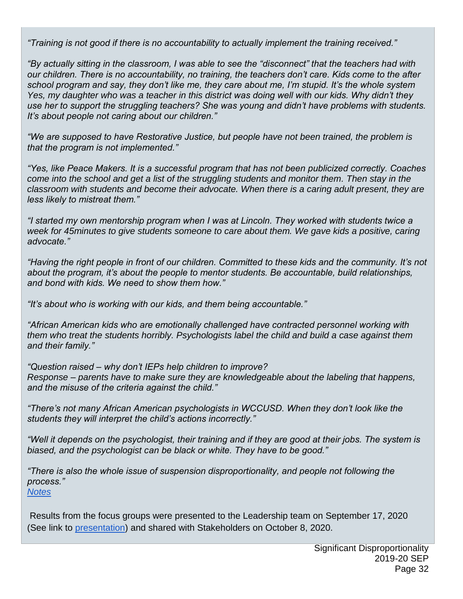*"Training is not good if there is no accountability to actually implement the training received."*

*"By actually sitting in the classroom, I was able to see the "disconnect" that the teachers had with our children. There is no accountability, no training, the teachers don't care. Kids come to the after school program and say, they don't like me, they care about me, I'm stupid. It's the whole system Yes, my daughter who was a teacher in this district was doing well with our kids. Why didn't they use her to support the struggling teachers? She was young and didn't have problems with students. It's about people not caring about our children."*

*"We are supposed to have Restorative Justice, but people have not been trained, the problem is that the program is not implemented."*

*"Yes, like Peace Makers. It is a successful program that has not been publicized correctly. Coaches come into the school and get a list of the struggling students and monitor them. Then stay in the classroom with students and become their advocate. When there is a caring adult present, they are less likely to mistreat them."*

*"I started my own mentorship program when I was at Lincoln. They worked with students twice a week for 45minutes to give students someone to care about them. We gave kids a positive, caring advocate."*

*"Having the right people in front of our children. Committed to these kids and the community. It's not about the program, it's about the people to mentor students. Be accountable, build relationships, and bond with kids. We need to show them how."*

*"It's about who is working with our kids, and them being accountable."*

*"African American kids who are emotionally challenged have contracted personnel working with them who treat the students horribly. Psychologists label the child and build a case against them and their family."*

*"Question raised – why don't IEPs help children to improve? Response – parents have to make sure they are knowledgeable about the labeling that happens, and the misuse of the criteria against the child."*

*"There's not many African American psychologists in WCCUSD. When they don't look like the students they will interpret the child's actions incorrectly."*

*"Well it depends on the psychologist, their training and if they are good at their jobs. The system is biased, and the psychologist can be black or white. They have to be good."*

*"There is also the whole issue of suspension disproportionality, and people not following the process."* 

*[Notes](https://drive.google.com/file/d/1634XUNpXbkmo-7Q90vCWbhJ6ALUOXnR8/view?usp=sharing)*

Results from the focus groups were presented to the Leadership team on September 17, 2020 (See link to [presentation\)](https://docs.google.com/presentation/d/12zVDArcr772SGoqKaoroeo5F-xX5T_CAD8Lsd2oRJYE/edit?usp=sharing) and shared with Stakeholders on October 8, 2020.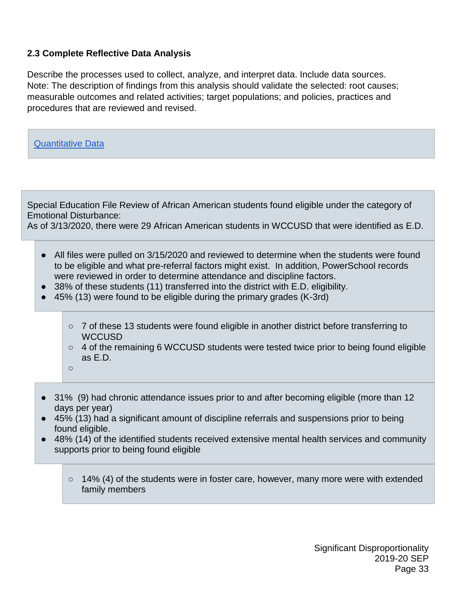#### **2.3 Complete Reflective Data Analysis**

Describe the processes used to collect, analyze, and interpret data. Include data sources. Note: The description of findings from this analysis should validate the selected: root causes; measurable outcomes and related activities; target populations; and policies, practices and procedures that are reviewed and revised.



Special Education File Review of African American students found eligible under the category of Emotional Disturbance:

As of 3/13/2020, there were 29 African American students in WCCUSD that were identified as E.D.

- All files were pulled on 3/15/2020 and reviewed to determine when the students were found to be eligible and what pre-referral factors might exist. In addition, PowerSchool records were reviewed in order to determine attendance and discipline factors.
- 38% of these students (11) transferred into the district with E.D. eligibility.
- 45% (13) were found to be eligible during the primary grades (K-3rd)
	- $\circ$  7 of these 13 students were found eligible in another district before transferring to **WCCUSD**
	- $\circ$  4 of the remaining 6 WCCUSD students were tested twice prior to being found eligible as E.D.
	- $\Omega$
- 31% (9) had chronic attendance issues prior to and after becoming eligible (more than 12 days per year)
- 45% (13) had a significant amount of discipline referrals and suspensions prior to being found eligible.
- 48% (14) of the identified students received extensive mental health services and community supports prior to being found eligible
	- $\circ$  14% (4) of the students were in foster care, however, many more were with extended family members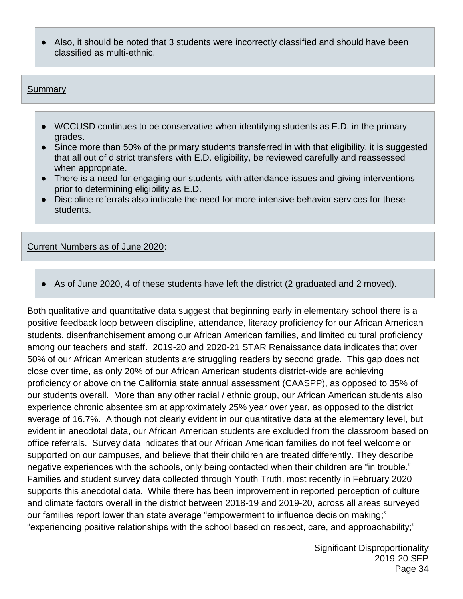● Also, it should be noted that 3 students were incorrectly classified and should have been classified as multi-ethnic.

#### Summary

- WCCUSD continues to be conservative when identifying students as E.D. in the primary grades.
- Since more than 50% of the primary students transferred in with that eligibility, it is suggested that all out of district transfers with E.D. eligibility, be reviewed carefully and reassessed when appropriate.
- There is a need for engaging our students with attendance issues and giving interventions prior to determining eligibility as E.D.
- Discipline referrals also indicate the need for more intensive behavior services for these students.

Current Numbers as of June 2020:

● As of June 2020, 4 of these students have left the district (2 graduated and 2 moved).

Both qualitative and quantitative data suggest that beginning early in elementary school there is a positive feedback loop between discipline, attendance, literacy proficiency for our African American students, disenfranchisement among our African American families, and limited cultural proficiency among our teachers and staff. 2019-20 and 2020-21 STAR Renaissance data indicates that over 50% of our African American students are struggling readers by second grade. This gap does not close over time, as only 20% of our African American students district-wide are achieving proficiency or above on the California state annual assessment (CAASPP), as opposed to 35% of our students overall. More than any other racial / ethnic group, our African American students also experience chronic absenteeism at approximately 25% year over year, as opposed to the district average of 16.7%. Although not clearly evident in our quantitative data at the elementary level, but evident in anecdotal data, our African American students are excluded from the classroom based on office referrals. Survey data indicates that our African American families do not feel welcome or supported on our campuses, and believe that their children are treated differently. They describe negative experiences with the schools, only being contacted when their children are "in trouble." Families and student survey data collected through Youth Truth, most recently in February 2020 supports this anecdotal data. While there has been improvement in reported perception of culture and climate factors overall in the district between 2018-19 and 2019-20, across all areas surveyed our families report lower than state average "empowerment to influence decision making;" "experiencing positive relationships with the school based on respect, care, and approachability;"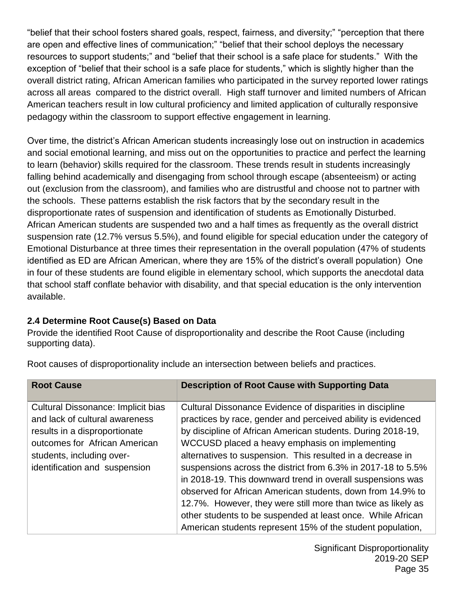"belief that their school fosters shared goals, respect, fairness, and diversity;" "perception that there are open and effective lines of communication;" "belief that their school deploys the necessary resources to support students;" and "belief that their school is a safe place for students." With the exception of "belief that their school is a safe place for students," which is slightly higher than the overall district rating, African American families who participated in the survey reported lower ratings across all areas compared to the district overall. High staff turnover and limited numbers of African American teachers result in low cultural proficiency and limited application of culturally responsive pedagogy within the classroom to support effective engagement in learning.

Over time, the district's African American students increasingly lose out on instruction in academics and social emotional learning, and miss out on the opportunities to practice and perfect the learning to learn (behavior) skills required for the classroom. These trends result in students increasingly falling behind academically and disengaging from school through escape (absenteeism) or acting out (exclusion from the classroom), and families who are distrustful and choose not to partner with the schools. These patterns establish the risk factors that by the secondary result in the disproportionate rates of suspension and identification of students as Emotionally Disturbed. African American students are suspended two and a half times as frequently as the overall district suspension rate (12.7% versus 5.5%), and found eligible for special education under the category of Emotional Disturbance at three times their representation in the overall population (47% of students identified as ED are African American, where they are 15% of the district's overall population) One in four of these students are found eligible in elementary school, which supports the anecdotal data that school staff conflate behavior with disability, and that special education is the only intervention available.

## **2.4 Determine Root Cause(s) Based on Data**

Provide the identified Root Cause of disproportionality and describe the Root Cause (including supporting data).

| <b>Root Cause</b>                                                                                                                                                                                    | <b>Description of Root Cause with Supporting Data</b>                                                                                                                                                                                                                                                                                                                                                                                                                                                                                                                                                                                                                                             |
|------------------------------------------------------------------------------------------------------------------------------------------------------------------------------------------------------|---------------------------------------------------------------------------------------------------------------------------------------------------------------------------------------------------------------------------------------------------------------------------------------------------------------------------------------------------------------------------------------------------------------------------------------------------------------------------------------------------------------------------------------------------------------------------------------------------------------------------------------------------------------------------------------------------|
| Cultural Dissonance: Implicit bias<br>and lack of cultural awareness<br>results in a disproportionate<br>outcomes for African American<br>students, including over-<br>identification and suspension | Cultural Dissonance Evidence of disparities in discipline<br>practices by race, gender and perceived ability is evidenced<br>by discipline of African American students. During 2018-19,<br>WCCUSD placed a heavy emphasis on implementing<br>alternatives to suspension. This resulted in a decrease in<br>suspensions across the district from 6.3% in 2017-18 to 5.5%<br>in 2018-19. This downward trend in overall suspensions was<br>observed for African American students, down from 14.9% to<br>12.7%. However, they were still more than twice as likely as<br>other students to be suspended at least once. While African<br>American students represent 15% of the student population, |

Root causes of disproportionality include an intersection between beliefs and practices.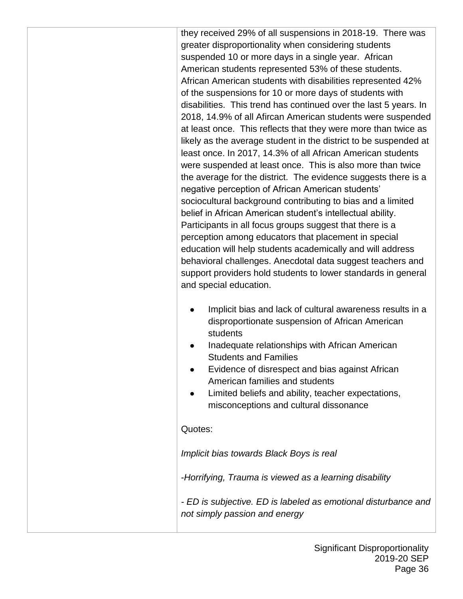they received 29% of all suspensions in 2018-19. There was greater disproportionality when considering students suspended 10 or more days in a single year. African American students represented 53% of these students. African American students with disabilities represented 42% of the suspensions for 10 or more days of students with disabilities. This trend has continued over the last 5 years. In 2018, 14.9% of all Afircan American students were suspended at least once. This reflects that they were more than twice as likely as the average student in the district to be suspended at least once. In 2017, 14.3% of all African American students were suspended at least once. This is also more than twice the average for the district. The evidence suggests there is a negative perception of African American students' sociocultural background contributing to bias and a limited belief in African American student's intellectual ability. Participants in all focus groups suggest that there is a perception among educators that placement in special education will help students academically and will address behavioral challenges. Anecdotal data suggest teachers and support providers hold students to lower standards in general and special education.

- Implicit bias and lack of cultural awareness results in a disproportionate suspension of African American students
- Inadequate relationships with African American Students and Families
- Evidence of disrespect and bias against African American families and students
- Limited beliefs and ability, teacher expectations, misconceptions and cultural dissonance

## Quotes:

*Implicit bias towards Black Boys is real*

-*Horrifying, Trauma is viewed as a learning disability*

*- ED is subjective. ED is labeled as emotional disturbance and not simply passion and energy*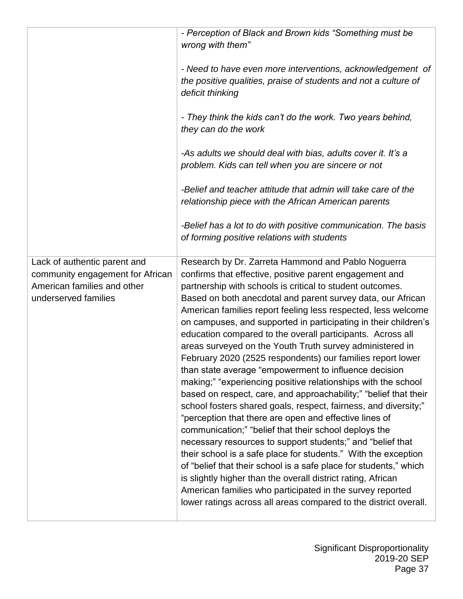|                                                     | - Perception of Black and Brown kids "Something must be<br>wrong with them"                                                                                                                                                                                                                                                                                                                                                                                                                                                                                                                                                                                                                                                                                                                                                                                                                                                                                                                                                                                                                                                                                                |
|-----------------------------------------------------|----------------------------------------------------------------------------------------------------------------------------------------------------------------------------------------------------------------------------------------------------------------------------------------------------------------------------------------------------------------------------------------------------------------------------------------------------------------------------------------------------------------------------------------------------------------------------------------------------------------------------------------------------------------------------------------------------------------------------------------------------------------------------------------------------------------------------------------------------------------------------------------------------------------------------------------------------------------------------------------------------------------------------------------------------------------------------------------------------------------------------------------------------------------------------|
|                                                     | - Need to have even more interventions, acknowledgement of<br>the positive qualities, praise of students and not a culture of<br>deficit thinking                                                                                                                                                                                                                                                                                                                                                                                                                                                                                                                                                                                                                                                                                                                                                                                                                                                                                                                                                                                                                          |
|                                                     | - They think the kids can't do the work. Two years behind,<br>they can do the work                                                                                                                                                                                                                                                                                                                                                                                                                                                                                                                                                                                                                                                                                                                                                                                                                                                                                                                                                                                                                                                                                         |
|                                                     | -As adults we should deal with bias, adults cover it. It's a<br>problem. Kids can tell when you are sincere or not                                                                                                                                                                                                                                                                                                                                                                                                                                                                                                                                                                                                                                                                                                                                                                                                                                                                                                                                                                                                                                                         |
|                                                     | -Belief and teacher attitude that admin will take care of the<br>relationship piece with the African American parents                                                                                                                                                                                                                                                                                                                                                                                                                                                                                                                                                                                                                                                                                                                                                                                                                                                                                                                                                                                                                                                      |
|                                                     | -Belief has a lot to do with positive communication. The basis<br>of forming positive relations with students                                                                                                                                                                                                                                                                                                                                                                                                                                                                                                                                                                                                                                                                                                                                                                                                                                                                                                                                                                                                                                                              |
| Lack of authentic parent and                        | Research by Dr. Zarreta Hammond and Pablo Noguerra                                                                                                                                                                                                                                                                                                                                                                                                                                                                                                                                                                                                                                                                                                                                                                                                                                                                                                                                                                                                                                                                                                                         |
| community engagement for African                    | confirms that effective, positive parent engagement and                                                                                                                                                                                                                                                                                                                                                                                                                                                                                                                                                                                                                                                                                                                                                                                                                                                                                                                                                                                                                                                                                                                    |
| American families and other<br>underserved families | partnership with schools is critical to student outcomes.<br>Based on both anecdotal and parent survey data, our African<br>American families report feeling less respected, less welcome<br>on campuses, and supported in participating in their children's<br>education compared to the overall participants. Across all<br>areas surveyed on the Youth Truth survey administered in<br>February 2020 (2525 respondents) our families report lower<br>than state average "empowerment to influence decision<br>making;" "experiencing positive relationships with the school<br>based on respect, care, and approachability;" "belief that their<br>school fosters shared goals, respect, fairness, and diversity;"<br>"perception that there are open and effective lines of<br>communication;" "belief that their school deploys the<br>necessary resources to support students;" and "belief that<br>their school is a safe place for students." With the exception<br>of "belief that their school is a safe place for students," which<br>is slightly higher than the overall district rating, African<br>American families who participated in the survey reported |
|                                                     | lower ratings across all areas compared to the district overall.                                                                                                                                                                                                                                                                                                                                                                                                                                                                                                                                                                                                                                                                                                                                                                                                                                                                                                                                                                                                                                                                                                           |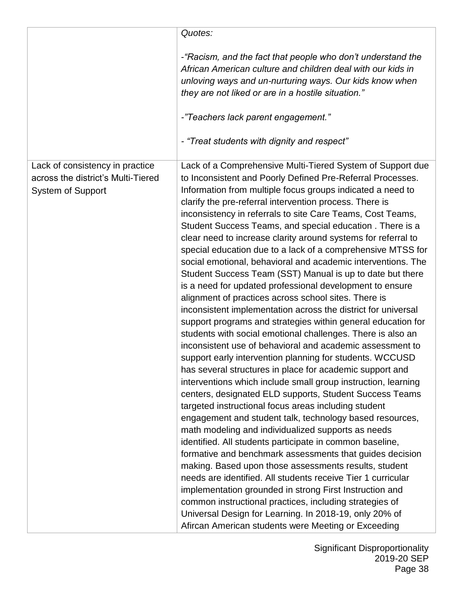|                                                                                            | Quotes:                                                                                                                                                                                                                                                                                                                                                                                                                                                                                                                                                                                                                                                                                                                                                                                                                                                                                                                                                                                                                                                                                                                                                                                                                                                                                                                                                                                                                                                                                                                                                                                                                                                                                                                                                                                                                                                                                                                                          |
|--------------------------------------------------------------------------------------------|--------------------------------------------------------------------------------------------------------------------------------------------------------------------------------------------------------------------------------------------------------------------------------------------------------------------------------------------------------------------------------------------------------------------------------------------------------------------------------------------------------------------------------------------------------------------------------------------------------------------------------------------------------------------------------------------------------------------------------------------------------------------------------------------------------------------------------------------------------------------------------------------------------------------------------------------------------------------------------------------------------------------------------------------------------------------------------------------------------------------------------------------------------------------------------------------------------------------------------------------------------------------------------------------------------------------------------------------------------------------------------------------------------------------------------------------------------------------------------------------------------------------------------------------------------------------------------------------------------------------------------------------------------------------------------------------------------------------------------------------------------------------------------------------------------------------------------------------------------------------------------------------------------------------------------------------------|
|                                                                                            | -"Racism, and the fact that people who don't understand the<br>African American culture and children deal with our kids in<br>unloving ways and un-nurturing ways. Our kids know when<br>they are not liked or are in a hostile situation."<br>-"Teachers lack parent engagement."<br>- "Treat students with dignity and respect"                                                                                                                                                                                                                                                                                                                                                                                                                                                                                                                                                                                                                                                                                                                                                                                                                                                                                                                                                                                                                                                                                                                                                                                                                                                                                                                                                                                                                                                                                                                                                                                                                |
| Lack of consistency in practice<br>across the district's Multi-Tiered<br>System of Support | Lack of a Comprehensive Multi-Tiered System of Support due<br>to Inconsistent and Poorly Defined Pre-Referral Processes.<br>Information from multiple focus groups indicated a need to<br>clarify the pre-referral intervention process. There is<br>inconsistency in referrals to site Care Teams, Cost Teams,<br>Student Success Teams, and special education . There is a<br>clear need to increase clarity around systems for referral to<br>special education due to a lack of a comprehensive MTSS for<br>social emotional, behavioral and academic interventions. The<br>Student Success Team (SST) Manual is up to date but there<br>is a need for updated professional development to ensure<br>alignment of practices across school sites. There is<br>inconsistent implementation across the district for universal<br>support programs and strategies within general education for<br>students with social emotional challenges. There is also an<br>inconsistent use of behavioral and academic assessment to<br>support early intervention planning for students. WCCUSD<br>has several structures in place for academic support and<br>interventions which include small group instruction, learning<br>centers, designated ELD supports, Student Success Teams<br>targeted instructional focus areas including student<br>engagement and student talk, technology based resources,<br>math modeling and individualized supports as needs<br>identified. All students participate in common baseline,<br>formative and benchmark assessments that guides decision<br>making. Based upon those assessments results, student<br>needs are identified. All students receive Tier 1 curricular<br>implementation grounded in strong First Instruction and<br>common instructional practices, including strategies of<br>Universal Design for Learning. In 2018-19, only 20% of<br>Afircan American students were Meeting or Exceeding |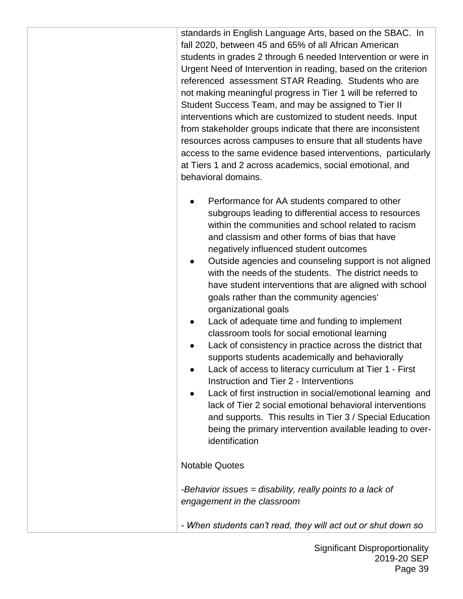standards in English Language Arts, based on the SBAC. In fall 2020, between 45 and 65% of all African American students in grades 2 through 6 needed Intervention or were in Urgent Need of Intervention in reading, based on the criterion referenced assessment STAR Reading. Students who are not making meaningful progress in Tier 1 will be referred to Student Success Team, and may be assigned to Tier II interventions which are customized to student needs. Input from stakeholder groups indicate that there are inconsistent resources across campuses to ensure that all students have access to the same evidence based interventions, particularly at Tiers 1 and 2 across academics, social emotional, and behavioral domains.

- Performance for AA students compared to other subgroups leading to differential access to resources within the communities and school related to racism and classism and other forms of bias that have negatively influenced student outcomes
- Outside agencies and counseling support is not aligned with the needs of the students. The district needs to have student interventions that are aligned with school goals rather than the community agencies' organizational goals
- Lack of adequate time and funding to implement classroom tools for social emotional learning
- Lack of consistency in practice across the district that supports students academically and behaviorally
- Lack of access to literacy curriculum at Tier 1 First Instruction and Tier 2 - Interventions
- Lack of first instruction in social/emotional learning and lack of Tier 2 social emotional behavioral interventions and supports. This results in Tier 3 / Special Education being the primary intervention available leading to overidentification

## Notable Quotes

*-Behavior issues = disability, really points to a lack of engagement in the classroom*

*- When students can't read, they will act out or shut down so*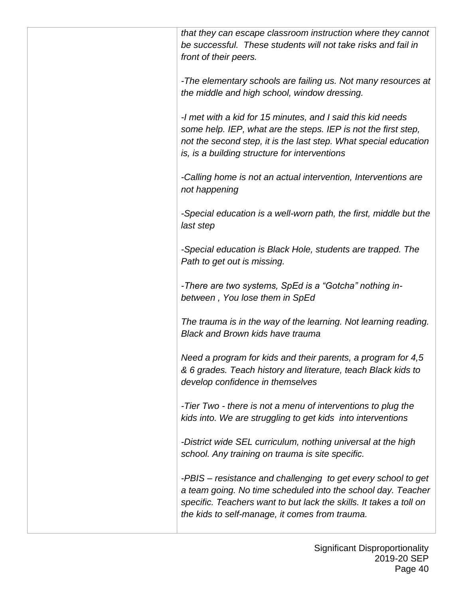*that they can escape classroom instruction where they cannot be successful. These students will not take risks and fail in front of their peers.*

*-The elementary schools are failing us. Not many resources at the middle and high school, window dressing.*

*-I met with a kid for 15 minutes, and I said this kid needs some help. IEP, what are the steps. IEP is not the first step, not the second step, it is the last step. What special education is, is a building structure for interventions*

*-Calling home is not an actual intervention, Interventions are not happening*

*-Special education is a well-worn path, the first, middle but the last step*

*-Special education is Black Hole, students are trapped. The Path to get out is missing.*

*-There are two systems, SpEd is a "Gotcha" nothing inbetween , You lose them in SpEd*

*The trauma is in the way of the learning. Not learning reading. Black and Brown kids have trauma*

*Need a program for kids and their parents, a program for 4,5 & 6 grades. Teach history and literature, teach Black kids to develop confidence in themselves*

*-Tier Two - there is not a menu of interventions to plug the kids into. We are struggling to get kids into interventions*

*-District wide SEL curriculum, nothing universal at the high school. Any training on trauma is site specific.*

*-PBIS – resistance and challenging to get every school to get a team going. No time scheduled into the school day. Teacher specific. Teachers want to but lack the skills. It takes a toll on the kids to self-manage, it comes from trauma.*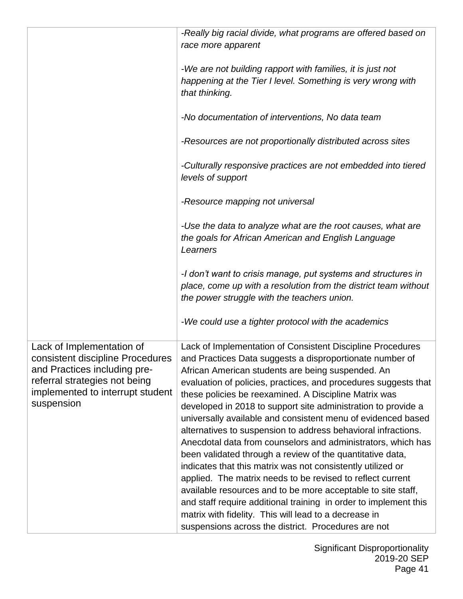|                                                                                                                                                                                  | -Really big racial divide, what programs are offered based on                                                                                                                                                                                                                                                                                                                                                                                                                                                                                                                                                                                                                                                                                                                                                                                                                                                                                                                                                           |
|----------------------------------------------------------------------------------------------------------------------------------------------------------------------------------|-------------------------------------------------------------------------------------------------------------------------------------------------------------------------------------------------------------------------------------------------------------------------------------------------------------------------------------------------------------------------------------------------------------------------------------------------------------------------------------------------------------------------------------------------------------------------------------------------------------------------------------------------------------------------------------------------------------------------------------------------------------------------------------------------------------------------------------------------------------------------------------------------------------------------------------------------------------------------------------------------------------------------|
|                                                                                                                                                                                  | race more apparent                                                                                                                                                                                                                                                                                                                                                                                                                                                                                                                                                                                                                                                                                                                                                                                                                                                                                                                                                                                                      |
|                                                                                                                                                                                  | -We are not building rapport with families, it is just not<br>happening at the Tier I level. Something is very wrong with<br>that thinking.                                                                                                                                                                                                                                                                                                                                                                                                                                                                                                                                                                                                                                                                                                                                                                                                                                                                             |
|                                                                                                                                                                                  | -No documentation of interventions, No data team                                                                                                                                                                                                                                                                                                                                                                                                                                                                                                                                                                                                                                                                                                                                                                                                                                                                                                                                                                        |
|                                                                                                                                                                                  | -Resources are not proportionally distributed across sites                                                                                                                                                                                                                                                                                                                                                                                                                                                                                                                                                                                                                                                                                                                                                                                                                                                                                                                                                              |
|                                                                                                                                                                                  | -Culturally responsive practices are not embedded into tiered<br>levels of support                                                                                                                                                                                                                                                                                                                                                                                                                                                                                                                                                                                                                                                                                                                                                                                                                                                                                                                                      |
|                                                                                                                                                                                  | -Resource mapping not universal                                                                                                                                                                                                                                                                                                                                                                                                                                                                                                                                                                                                                                                                                                                                                                                                                                                                                                                                                                                         |
|                                                                                                                                                                                  | -Use the data to analyze what are the root causes, what are<br>the goals for African American and English Language<br>Learners                                                                                                                                                                                                                                                                                                                                                                                                                                                                                                                                                                                                                                                                                                                                                                                                                                                                                          |
|                                                                                                                                                                                  | -I don't want to crisis manage, put systems and structures in<br>place, come up with a resolution from the district team without<br>the power struggle with the teachers union.                                                                                                                                                                                                                                                                                                                                                                                                                                                                                                                                                                                                                                                                                                                                                                                                                                         |
|                                                                                                                                                                                  | -We could use a tighter protocol with the academics                                                                                                                                                                                                                                                                                                                                                                                                                                                                                                                                                                                                                                                                                                                                                                                                                                                                                                                                                                     |
| Lack of Implementation of<br>consistent discipline Procedures<br>and Practices including pre-<br>referral strategies not being<br>implemented to interrupt student<br>suspension | Lack of Implementation of Consistent Discipline Procedures<br>and Practices Data suggests a disproportionate number of<br>African American students are being suspended. An<br>evaluation of policies, practices, and procedures suggests that<br>these policies be reexamined. A Discipline Matrix was<br>developed in 2018 to support site administration to provide a<br>universally available and consistent menu of evidenced based<br>alternatives to suspension to address behavioral infractions.<br>Anecdotal data from counselors and administrators, which has<br>been validated through a review of the quantitative data,<br>indicates that this matrix was not consistently utilized or<br>applied. The matrix needs to be revised to reflect current<br>available resources and to be more acceptable to site staff,<br>and staff require additional training in order to implement this<br>matrix with fidelity. This will lead to a decrease in<br>suspensions across the district. Procedures are not |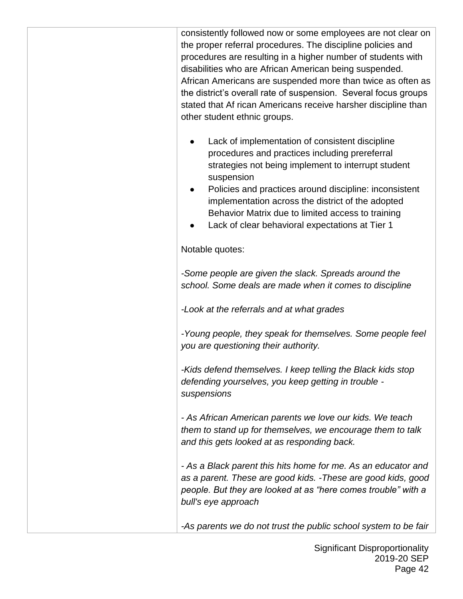consistently followed now or some employees are not clear on the proper referral procedures. The discipline policies and procedures are resulting in a higher number of students with disabilities who are African American being suspended. African Americans are suspended more than twice as often as the district's overall rate of suspension. Several focus groups stated that Af rican Americans receive harsher discipline than other student ethnic groups.

- Lack of implementation of consistent discipline procedures and practices including prereferral strategies not being implement to interrupt student suspension
- Policies and practices around discipline: inconsistent implementation across the district of the adopted Behavior Matrix due to limited access to training
- Lack of clear behavioral expectations at Tier 1

Notable quotes:

*-Some people are given the slack. Spreads around the school. Some deals are made when it comes to discipline*

*-Look at the referrals and at what grades*

*-Young people, they speak for themselves. Some people feel you are questioning their authority.*

*-Kids defend themselves. I keep telling the Black kids stop defending yourselves, you keep getting in trouble suspensions*

*- As African American parents we love our kids. We teach them to stand up for themselves, we encourage them to talk and this gets looked at as responding back.*

*- As a Black parent this hits home for me. As an educator and as a parent. These are good kids. -These are good kids, good people. But they are looked at as "here comes trouble" with a bull's eye approach*

*-As parents we do not trust the public school system to be fair*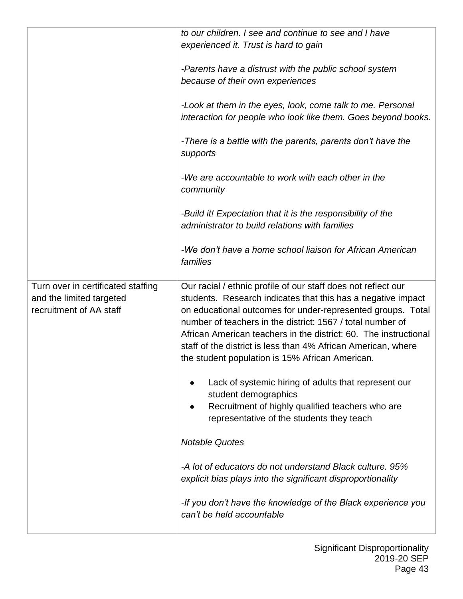|                                    | to our children. I see and continue to see and I have            |  |
|------------------------------------|------------------------------------------------------------------|--|
|                                    | experienced it. Trust is hard to gain                            |  |
|                                    |                                                                  |  |
|                                    | -Parents have a distrust with the public school system           |  |
|                                    | because of their own experiences                                 |  |
|                                    |                                                                  |  |
|                                    | -Look at them in the eyes, look, come talk to me. Personal       |  |
|                                    | interaction for people who look like them. Goes beyond books.    |  |
|                                    |                                                                  |  |
|                                    | -There is a battle with the parents, parents don't have the      |  |
|                                    | supports                                                         |  |
|                                    |                                                                  |  |
|                                    | -We are accountable to work with each other in the               |  |
|                                    | community                                                        |  |
|                                    |                                                                  |  |
|                                    | -Build it! Expectation that it is the responsibility of the      |  |
|                                    | administrator to build relations with families                   |  |
|                                    |                                                                  |  |
|                                    | -We don't have a home school liaison for African American        |  |
|                                    | families                                                         |  |
|                                    |                                                                  |  |
| Turn over in certificated staffing | Our racial / ethnic profile of our staff does not reflect our    |  |
| and the limited targeted           | students. Research indicates that this has a negative impact     |  |
| recruitment of AA staff            | on educational outcomes for under-represented groups. Total      |  |
|                                    | number of teachers in the district: 1567 / total number of       |  |
|                                    | African American teachers in the district: 60. The instructional |  |
|                                    | staff of the district is less than 4% African American, where    |  |
|                                    | the student population is 15% African American.                  |  |
|                                    |                                                                  |  |
|                                    | Lack of systemic hiring of adults that represent our             |  |
|                                    | student demographics                                             |  |
|                                    | Recruitment of highly qualified teachers who are                 |  |
|                                    | representative of the students they teach                        |  |
|                                    | <b>Notable Quotes</b>                                            |  |
|                                    |                                                                  |  |
|                                    | -A lot of educators do not understand Black culture, 95%         |  |
|                                    | explicit bias plays into the significant disproportionality      |  |
|                                    |                                                                  |  |
|                                    | -If you don't have the knowledge of the Black experience you     |  |
|                                    | can't be held accountable                                        |  |
|                                    |                                                                  |  |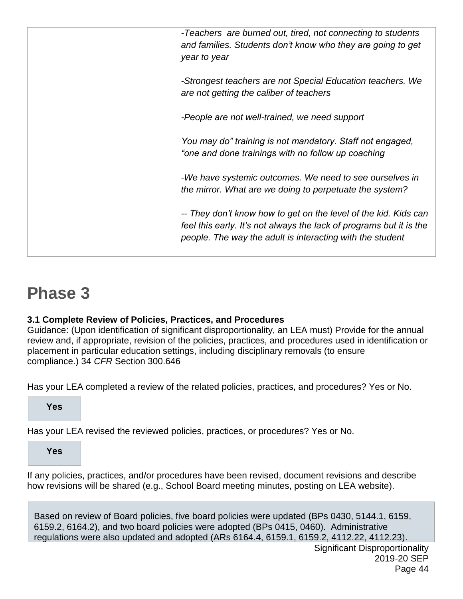|  | -Teachers are burned out, tired, not connecting to students<br>and families. Students don't know who they are going to get<br>year to year                                                          |
|--|-----------------------------------------------------------------------------------------------------------------------------------------------------------------------------------------------------|
|  | -Strongest teachers are not Special Education teachers. We<br>are not getting the caliber of teachers                                                                                               |
|  | -People are not well-trained, we need support                                                                                                                                                       |
|  | You may do" training is not mandatory. Staff not engaged,<br>"one and done trainings with no follow up coaching                                                                                     |
|  | -We have systemic outcomes. We need to see ourselves in<br>the mirror. What are we doing to perpetuate the system?                                                                                  |
|  | -- They don't know how to get on the level of the kid. Kids can<br>feel this early. It's not always the lack of programs but it is the<br>people. The way the adult is interacting with the student |
|  |                                                                                                                                                                                                     |

## **Phase 3**

## **3.1 Complete Review of Policies, Practices, and Procedures**

Guidance: (Upon identification of significant disproportionality, an LEA must) Provide for the annual review and, if appropriate, revision of the policies, practices, and procedures used in identification or placement in particular education settings, including disciplinary removals (to ensure compliance.) 34 *CFR* Section 300.646

Has your LEA completed a review of the related policies, practices, and procedures? Yes or No.

**Yes**

Has your LEA revised the reviewed policies, practices, or procedures? Yes or No.

**Yes**

If any policies, practices, and/or procedures have been revised, document revisions and describe how revisions will be shared (e.g., School Board meeting minutes, posting on LEA website).

Based on review of Board policies, five board policies were updated (BPs 0430, 5144.1, 6159, 6159.2, 6164.2), and two board policies were adopted (BPs 0415, 0460). Administrative regulations were also updated and adopted (ARs 6164.4, 6159.1, 6159.2, 4112.22, 4112.23).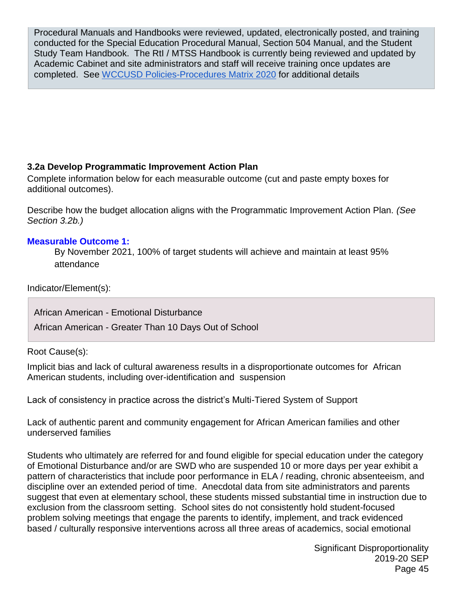Procedural Manuals and Handbooks were reviewed, updated, electronically posted, and training conducted for the Special Education Procedural Manual, Section 504 Manual, and the Student Study Team Handbook. The RtI / MTSS Handbook is currently being reviewed and updated by Academic Cabinet and site administrators and staff will receive training once updates are completed. See [WCCUSD Policies-Procedures Matrix 2020](https://drive.google.com/file/d/1rM2BSRH2afrOmiuTcCaQAEEAhn3ngksB/view?usp=sharing) for additional details

#### **3.2a Develop Programmatic Improvement Action Plan**

Complete information below for each measurable outcome (cut and paste empty boxes for additional outcomes).

Describe how the budget allocation aligns with the Programmatic Improvement Action Plan. *(See Section 3.2b.)*

#### **Measurable Outcome 1:**

By November 2021, 100% of target students will achieve and maintain at least 95% attendance

Indicator/Element(s):

African American - Emotional Disturbance

African American - Greater Than 10 Days Out of School

Root Cause(s):

Implicit bias and lack of cultural awareness results in a disproportionate outcomes for African American students, including over-identification and suspension

Lack of consistency in practice across the district's Multi-Tiered System of Support

Lack of authentic parent and community engagement for African American families and other underserved families

Students who ultimately are referred for and found eligible for special education under the category of Emotional Disturbance and/or are SWD who are suspended 10 or more days per year exhibit a pattern of characteristics that include poor performance in ELA / reading, chronic absenteeism, and discipline over an extended period of time. Anecdotal data from site administrators and parents suggest that even at elementary school, these students missed substantial time in instruction due to exclusion from the classroom setting. School sites do not consistently hold student-focused problem solving meetings that engage the parents to identify, implement, and track evidenced based / culturally responsive interventions across all three areas of academics, social emotional

> Significant Disproportionality 2019-20 SEP Page 45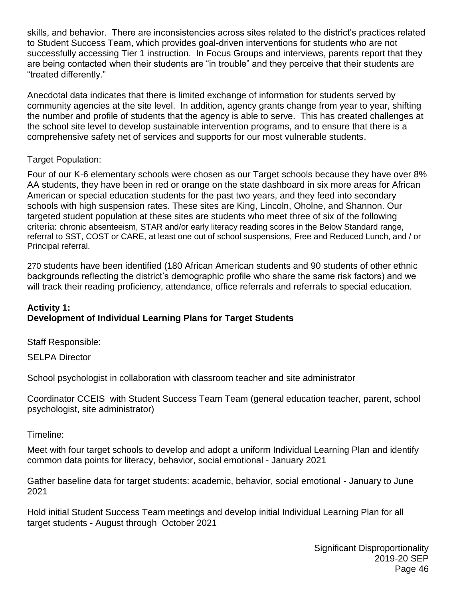skills, and behavior. There are inconsistencies across sites related to the district's practices related to Student Success Team, which provides goal-driven interventions for students who are not successfully accessing Tier 1 instruction. In Focus Groups and interviews, parents report that they are being contacted when their students are "in trouble" and they perceive that their students are "treated differently."

Anecdotal data indicates that there is limited exchange of information for students served by community agencies at the site level. In addition, agency grants change from year to year, shifting the number and profile of students that the agency is able to serve. This has created challenges at the school site level to develop sustainable intervention programs, and to ensure that there is a comprehensive safety net of services and supports for our most vulnerable students.

#### Target Population:

Four of our K-6 elementary schools were chosen as our Target schools because they have over 8% AA students, they have been in red or orange on the state dashboard in six more areas for African American or special education students for the past two years, and they feed into secondary schools with high suspension rates. These sites are King, Lincoln, Oholne, and Shannon. Our targeted student population at these sites are students who meet three of six of the following criteria: chronic absenteeism, STAR and/or early literacy reading scores in the Below Standard range, referral to SST, COST or CARE, at least one out of school suspensions, Free and Reduced Lunch, and / or Principal referral.

270 students have been identified (180 African American students and 90 students of other ethnic backgrounds reflecting the district's demographic profile who share the same risk factors) and we will track their reading proficiency, attendance, office referrals and referrals to special education.

### **Activity 1: Development of Individual Learning Plans for Target Students**

Staff Responsible:

SELPA Director

School psychologist in collaboration with classroom teacher and site administrator

Coordinator CCEIS with Student Success Team Team (general education teacher, parent, school psychologist, site administrator)

Timeline:

Meet with four target schools to develop and adopt a uniform Individual Learning Plan and identify common data points for literacy, behavior, social emotional - January 2021

Gather baseline data for target students: academic, behavior, social emotional - January to June 2021

Hold initial Student Success Team meetings and develop initial Individual Learning Plan for all target students - August through October 2021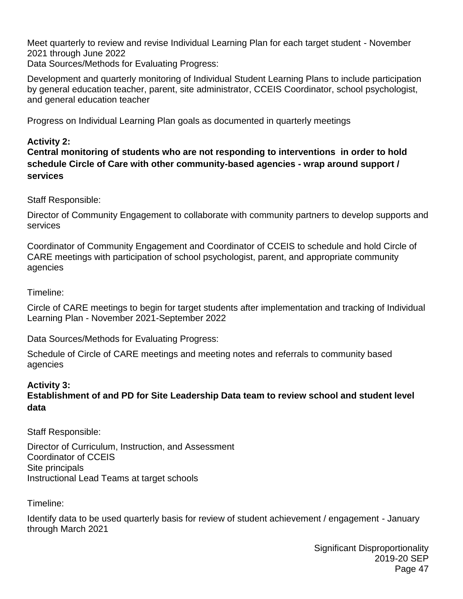Meet quarterly to review and revise Individual Learning Plan for each target student - November 2021 through June 2022 Data Sources/Methods for Evaluating Progress:

Development and quarterly monitoring of Individual Student Learning Plans to include participation by general education teacher, parent, site administrator, CCEIS Coordinator, school psychologist, and general education teacher

Progress on Individual Learning Plan goals as documented in quarterly meetings

## **Activity 2:**

**Central monitoring of students who are not responding to interventions in order to hold schedule Circle of Care with other community-based agencies - wrap around support / services**

Staff Responsible:

Director of Community Engagement to collaborate with community partners to develop supports and services

Coordinator of Community Engagement and Coordinator of CCEIS to schedule and hold Circle of CARE meetings with participation of school psychologist, parent, and appropriate community agencies

Timeline:

Circle of CARE meetings to begin for target students after implementation and tracking of Individual Learning Plan - November 2021-September 2022

Data Sources/Methods for Evaluating Progress:

Schedule of Circle of CARE meetings and meeting notes and referrals to community based agencies

## **Activity 3:**

**Establishment of and PD for Site Leadership Data team to review school and student level data**

Staff Responsible:

Director of Curriculum, Instruction, and Assessment Coordinator of CCEIS Site principals Instructional Lead Teams at target schools

Timeline:

Identify data to be used quarterly basis for review of student achievement / engagement - January through March 2021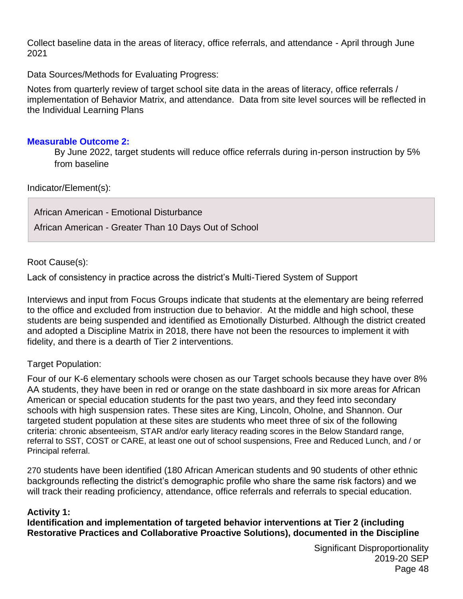Collect baseline data in the areas of literacy, office referrals, and attendance - April through June 2021

Data Sources/Methods for Evaluating Progress:

Notes from quarterly review of target school site data in the areas of literacy, office referrals / implementation of Behavior Matrix, and attendance. Data from site level sources will be reflected in the Individual Learning Plans

#### **Measurable Outcome 2:**

By June 2022, target students will reduce office referrals during in-person instruction by 5% from baseline

Indicator/Element(s):

African American - Emotional Disturbance African American - Greater Than 10 Days Out of School

Root Cause(s):

Lack of consistency in practice across the district's Multi-Tiered System of Support

Interviews and input from Focus Groups indicate that students at the elementary are being referred to the office and excluded from instruction due to behavior. At the middle and high school, these students are being suspended and identified as Emotionally Disturbed. Although the district created and adopted a Discipline Matrix in 2018, there have not been the resources to implement it with fidelity, and there is a dearth of Tier 2 interventions.

#### Target Population:

Four of our K-6 elementary schools were chosen as our Target schools because they have over 8% AA students, they have been in red or orange on the state dashboard in six more areas for African American or special education students for the past two years, and they feed into secondary schools with high suspension rates. These sites are King, Lincoln, Oholne, and Shannon. Our targeted student population at these sites are students who meet three of six of the following criteria: chronic absenteeism, STAR and/or early literacy reading scores in the Below Standard range, referral to SST, COST or CARE, at least one out of school suspensions, Free and Reduced Lunch, and / or Principal referral.

270 students have been identified (180 African American students and 90 students of other ethnic backgrounds reflecting the district's demographic profile who share the same risk factors) and we will track their reading proficiency, attendance, office referrals and referrals to special education.

#### **Activity 1:**

**Identification and implementation of targeted behavior interventions at Tier 2 (including Restorative Practices and Collaborative Proactive Solutions), documented in the Discipline**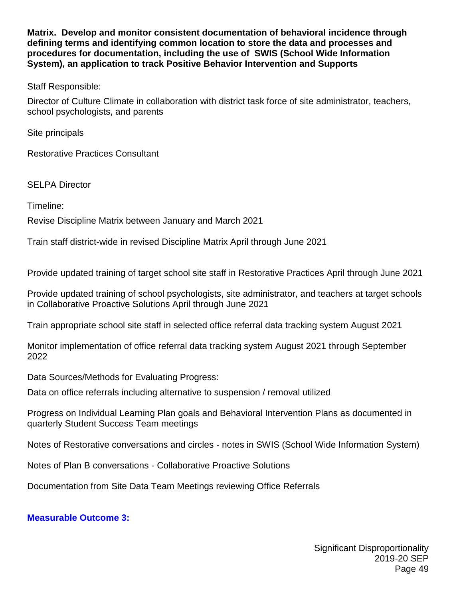**Matrix. Develop and monitor consistent documentation of behavioral incidence through defining terms and identifying common location to store the data and processes and procedures for documentation, including the use of SWIS (School Wide Information System), an application to track Positive Behavior Intervention and Supports**

Staff Responsible:

Director of Culture Climate in collaboration with district task force of site administrator, teachers, school psychologists, and parents

Site principals

Restorative Practices Consultant

SELPA Director

Timeline:

Revise Discipline Matrix between January and March 2021

Train staff district-wide in revised Discipline Matrix April through June 2021

Provide updated training of target school site staff in Restorative Practices April through June 2021

Provide updated training of school psychologists, site administrator, and teachers at target schools in Collaborative Proactive Solutions April through June 2021

Train appropriate school site staff in selected office referral data tracking system August 2021

Monitor implementation of office referral data tracking system August 2021 through September 2022

Data Sources/Methods for Evaluating Progress:

Data on office referrals including alternative to suspension / removal utilized

Progress on Individual Learning Plan goals and Behavioral Intervention Plans as documented in quarterly Student Success Team meetings

Notes of Restorative conversations and circles - notes in SWIS (School Wide Information System)

Notes of Plan B conversations - Collaborative Proactive Solutions

Documentation from Site Data Team Meetings reviewing Office Referrals

#### **Measurable Outcome 3:**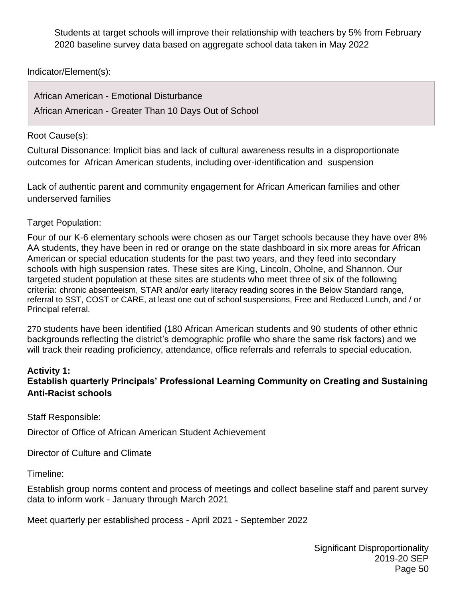Students at target schools will improve their relationship with teachers by 5% from February 2020 baseline survey data based on aggregate school data taken in May 2022

Indicator/Element(s):

| African American - Emotional Disturbance              |  |  |
|-------------------------------------------------------|--|--|
| African American - Greater Than 10 Days Out of School |  |  |

#### Root Cause(s):

Cultural Dissonance: Implicit bias and lack of cultural awareness results in a disproportionate outcomes for African American students, including over-identification and suspension

Lack of authentic parent and community engagement for African American families and other underserved families

#### Target Population:

Four of our K-6 elementary schools were chosen as our Target schools because they have over 8% AA students, they have been in red or orange on the state dashboard in six more areas for African American or special education students for the past two years, and they feed into secondary schools with high suspension rates. These sites are King, Lincoln, Oholne, and Shannon. Our targeted student population at these sites are students who meet three of six of the following criteria: chronic absenteeism, STAR and/or early literacy reading scores in the Below Standard range, referral to SST, COST or CARE, at least one out of school suspensions, Free and Reduced Lunch, and / or Principal referral.

270 students have been identified (180 African American students and 90 students of other ethnic backgrounds reflecting the district's demographic profile who share the same risk factors) and we will track their reading proficiency, attendance, office referrals and referrals to special education.

#### **Activity 1:**

## **Establish quarterly Principals' Professional Learning Community on Creating and Sustaining Anti-Racist schools**

Staff Responsible:

Director of Office of African American Student Achievement

Director of Culture and Climate

Timeline:

Establish group norms content and process of meetings and collect baseline staff and parent survey data to inform work - January through March 2021

Meet quarterly per established process - April 2021 - September 2022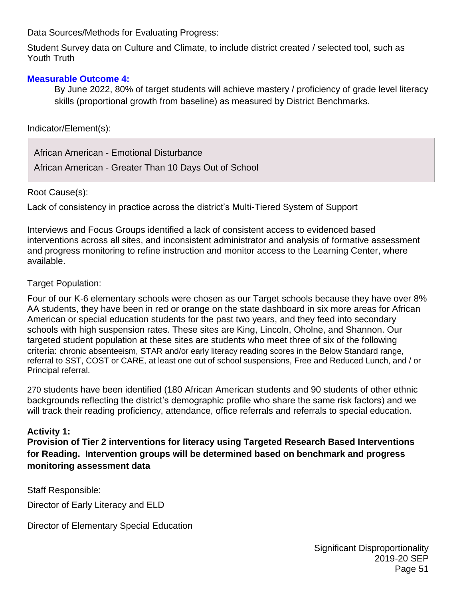Data Sources/Methods for Evaluating Progress:

Student Survey data on Culture and Climate, to include district created / selected tool, such as Youth Truth

#### **Measurable Outcome 4:**

By June 2022, 80% of target students will achieve mastery / proficiency of grade level literacy skills (proportional growth from baseline) as measured by District Benchmarks.

Indicator/Element(s):

African American - Emotional Disturbance African American - Greater Than 10 Days Out of School

Root Cause(s):

Lack of consistency in practice across the district's Multi-Tiered System of Support

Interviews and Focus Groups identified a lack of consistent access to evidenced based interventions across all sites, and inconsistent administrator and analysis of formative assessment and progress monitoring to refine instruction and monitor access to the Learning Center, where available.

#### Target Population:

Four of our K-6 elementary schools were chosen as our Target schools because they have over 8% AA students, they have been in red or orange on the state dashboard in six more areas for African American or special education students for the past two years, and they feed into secondary schools with high suspension rates. These sites are King, Lincoln, Oholne, and Shannon. Our targeted student population at these sites are students who meet three of six of the following criteria: chronic absenteeism, STAR and/or early literacy reading scores in the Below Standard range, referral to SST, COST or CARE, at least one out of school suspensions, Free and Reduced Lunch, and / or Principal referral.

270 students have been identified (180 African American students and 90 students of other ethnic backgrounds reflecting the district's demographic profile who share the same risk factors) and we will track their reading proficiency, attendance, office referrals and referrals to special education.

#### **Activity 1:**

**Provision of Tier 2 interventions for literacy using Targeted Research Based Interventions for Reading. Intervention groups will be determined based on benchmark and progress monitoring assessment data**

Staff Responsible: Director of Early Literacy and ELD

Director of Elementary Special Education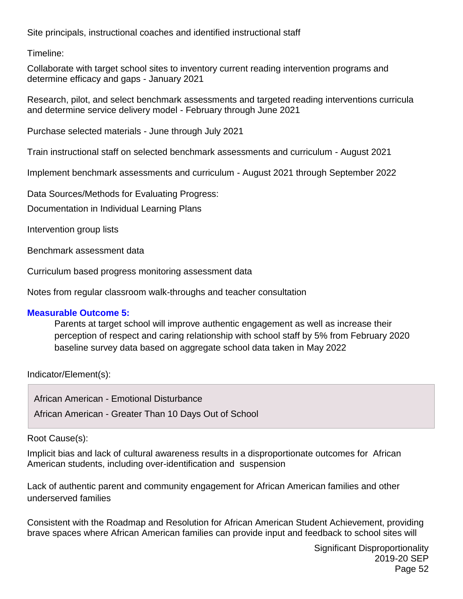Site principals, instructional coaches and identified instructional staff

Timeline:

Collaborate with target school sites to inventory current reading intervention programs and determine efficacy and gaps - January 2021

Research, pilot, and select benchmark assessments and targeted reading interventions curricula and determine service delivery model - February through June 2021

Purchase selected materials - June through July 2021

Train instructional staff on selected benchmark assessments and curriculum - August 2021

Implement benchmark assessments and curriculum - August 2021 through September 2022

Data Sources/Methods for Evaluating Progress:

Documentation in Individual Learning Plans

Intervention group lists

Benchmark assessment data

Curriculum based progress monitoring assessment data

Notes from regular classroom walk-throughs and teacher consultation

#### **Measurable Outcome 5:**

Parents at target school will improve authentic engagement as well as increase their perception of respect and caring relationship with school staff by 5% from February 2020 baseline survey data based on aggregate school data taken in May 2022

Indicator/Element(s):

African American - Emotional Disturbance African American - Greater Than 10 Days Out of School

#### Root Cause(s):

Implicit bias and lack of cultural awareness results in a disproportionate outcomes for African American students, including over-identification and suspension

Lack of authentic parent and community engagement for African American families and other underserved families

Consistent with the Roadmap and Resolution for African American Student Achievement, providing brave spaces where African American families can provide input and feedback to school sites will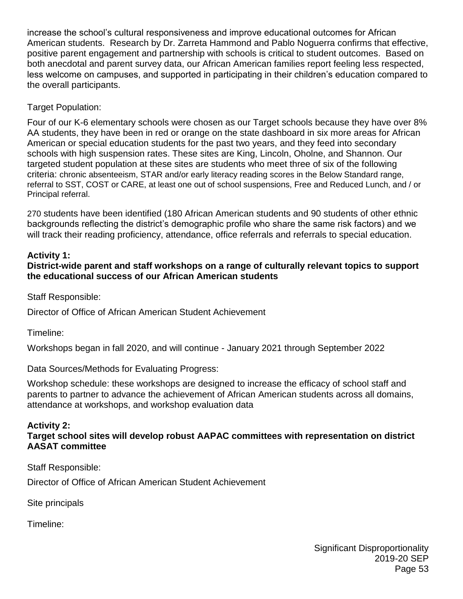increase the school's cultural responsiveness and improve educational outcomes for African American students. Research by Dr. Zarreta Hammond and Pablo Noguerra confirms that effective, positive parent engagement and partnership with schools is critical to student outcomes. Based on both anecdotal and parent survey data, our African American families report feeling less respected, less welcome on campuses, and supported in participating in their children's education compared to the overall participants.

Target Population:

Four of our K-6 elementary schools were chosen as our Target schools because they have over 8% AA students, they have been in red or orange on the state dashboard in six more areas for African American or special education students for the past two years, and they feed into secondary schools with high suspension rates. These sites are King, Lincoln, Oholne, and Shannon. Our targeted student population at these sites are students who meet three of six of the following criteria: chronic absenteeism, STAR and/or early literacy reading scores in the Below Standard range, referral to SST, COST or CARE, at least one out of school suspensions, Free and Reduced Lunch, and / or Principal referral.

270 students have been identified (180 African American students and 90 students of other ethnic backgrounds reflecting the district's demographic profile who share the same risk factors) and we will track their reading proficiency, attendance, office referrals and referrals to special education.

## **Activity 1:**

**District-wide parent and staff workshops on a range of culturally relevant topics to support the educational success of our African American students**

Staff Responsible:

Director of Office of African American Student Achievement

Timeline:

Workshops began in fall 2020, and will continue - January 2021 through September 2022

Data Sources/Methods for Evaluating Progress:

Workshop schedule: these workshops are designed to increase the efficacy of school staff and parents to partner to advance the achievement of African American students across all domains, attendance at workshops, and workshop evaluation data

## **Activity 2:**

**Target school sites will develop robust AAPAC committees with representation on district AASAT committee**

Staff Responsible:

Director of Office of African American Student Achievement

Site principals

Timeline: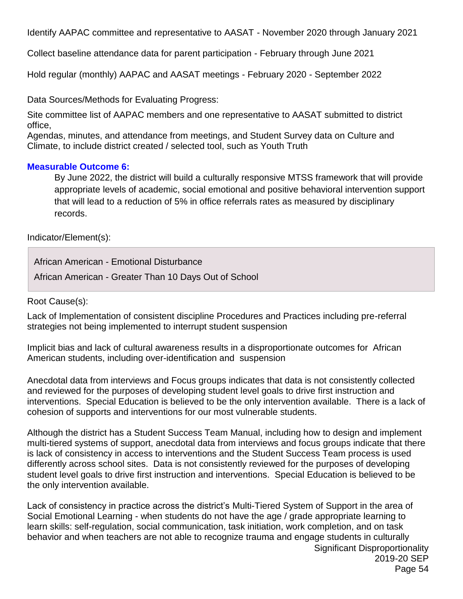Identify AAPAC committee and representative to AASAT - November 2020 through January 2021

Collect baseline attendance data for parent participation - February through June 2021

Hold regular (monthly) AAPAC and AASAT meetings - February 2020 - September 2022

Data Sources/Methods for Evaluating Progress:

Site committee list of AAPAC members and one representative to AASAT submitted to district office,

Agendas, minutes, and attendance from meetings, and Student Survey data on Culture and Climate, to include district created / selected tool, such as Youth Truth

#### **Measurable Outcome 6:**

By June 2022, the district will build a culturally responsive MTSS framework that will provide appropriate levels of academic, social emotional and positive behavioral intervention support that will lead to a reduction of 5% in office referrals rates as measured by disciplinary records.

Indicator/Element(s):

African American - Emotional Disturbance

African American - Greater Than 10 Days Out of School

Root Cause(s):

Lack of Implementation of consistent discipline Procedures and Practices including pre-referral strategies not being implemented to interrupt student suspension

Implicit bias and lack of cultural awareness results in a disproportionate outcomes for African American students, including over-identification and suspension

Anecdotal data from interviews and Focus groups indicates that data is not consistently collected and reviewed for the purposes of developing student level goals to drive first instruction and interventions. Special Education is believed to be the only intervention available. There is a lack of cohesion of supports and interventions for our most vulnerable students.

Although the district has a Student Success Team Manual, including how to design and implement multi-tiered systems of support, anecdotal data from interviews and focus groups indicate that there is lack of consistency in access to interventions and the Student Success Team process is used differently across school sites. Data is not consistently reviewed for the purposes of developing student level goals to drive first instruction and interventions. Special Education is believed to be the only intervention available.

Lack of consistency in practice across the district's Multi-Tiered System of Support in the area of Social Emotional Learning - when students do not have the age / grade appropriate learning to learn skills: self-regulation, social communication, task initiation, work completion, and on task behavior and when teachers are not able to recognize trauma and engage students in culturally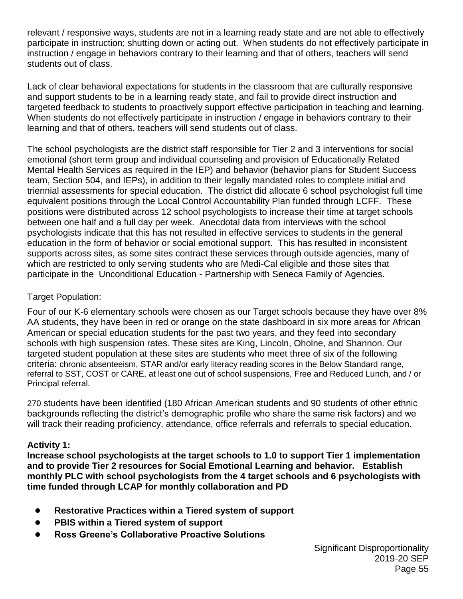relevant / responsive ways, students are not in a learning ready state and are not able to effectively participate in instruction; shutting down or acting out. When students do not effectively participate in instruction / engage in behaviors contrary to their learning and that of others, teachers will send students out of class.

Lack of clear behavioral expectations for students in the classroom that are culturally responsive and support students to be in a learning ready state, and fail to provide direct instruction and targeted feedback to students to proactively support effective participation in teaching and learning. When students do not effectively participate in instruction / engage in behaviors contrary to their learning and that of others, teachers will send students out of class.

The school psychologists are the district staff responsible for Tier 2 and 3 interventions for social emotional (short term group and individual counseling and provision of Educationally Related Mental Health Services as required in the IEP) and behavior (behavior plans for Student Success team, Section 504, and IEPs), in addition to their legally mandated roles to complete initial and triennial assessments for special education. The district did allocate 6 school psychologist full time equivalent positions through the Local Control Accountability Plan funded through LCFF. These positions were distributed across 12 school psychologists to increase their time at target schools between one half and a full day per week. Anecdotal data from interviews with the school psychologists indicate that this has not resulted in effective services to students in the general education in the form of behavior or social emotional support. This has resulted in inconsistent supports across sites, as some sites contract these services through outside agencies, many of which are restricted to only serving students who are Medi-Cal eligible and those sites that participate in the Unconditional Education - Partnership with Seneca Family of Agencies.

### Target Population:

Four of our K-6 elementary schools were chosen as our Target schools because they have over 8% AA students, they have been in red or orange on the state dashboard in six more areas for African American or special education students for the past two years, and they feed into secondary schools with high suspension rates. These sites are King, Lincoln, Oholne, and Shannon. Our targeted student population at these sites are students who meet three of six of the following criteria: chronic absenteeism, STAR and/or early literacy reading scores in the Below Standard range, referral to SST, COST or CARE, at least one out of school suspensions, Free and Reduced Lunch, and / or Principal referral.

270 students have been identified (180 African American students and 90 students of other ethnic backgrounds reflecting the district's demographic profile who share the same risk factors) and we will track their reading proficiency, attendance, office referrals and referrals to special education.

## **Activity 1:**

**Increase school psychologists at the target schools to 1.0 to support Tier 1 implementation and to provide Tier 2 resources for Social Emotional Learning and behavior. Establish monthly PLC with school psychologists from the 4 target schools and 6 psychologists with time funded through LCAP for monthly collaboration and PD**

- **Restorative Practices within a Tiered system of support**
- **PBIS within a Tiered system of support**
- **Ross Greene's Collaborative Proactive Solutions**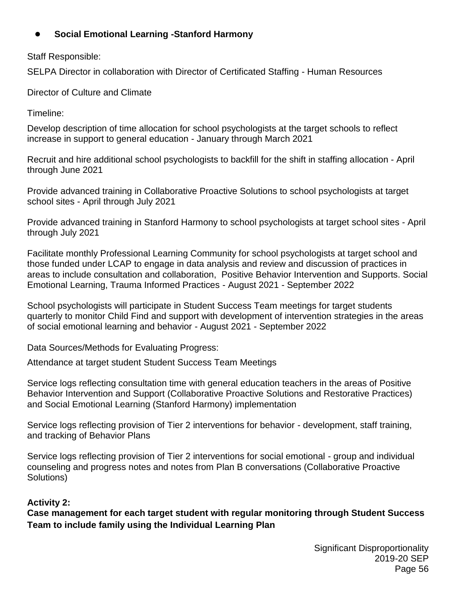## ● **Social Emotional Learning -Stanford Harmony**

Staff Responsible:

SELPA Director in collaboration with Director of Certificated Staffing - Human Resources

Director of Culture and Climate

Timeline:

Develop description of time allocation for school psychologists at the target schools to reflect increase in support to general education - January through March 2021

Recruit and hire additional school psychologists to backfill for the shift in staffing allocation - April through June 2021

Provide advanced training in Collaborative Proactive Solutions to school psychologists at target school sites - April through July 2021

Provide advanced training in Stanford Harmony to school psychologists at target school sites - April through July 2021

Facilitate monthly Professional Learning Community for school psychologists at target school and those funded under LCAP to engage in data analysis and review and discussion of practices in areas to include consultation and collaboration, Positive Behavior Intervention and Supports. Social Emotional Learning, Trauma Informed Practices - August 2021 - September 2022

School psychologists will participate in Student Success Team meetings for target students quarterly to monitor Child Find and support with development of intervention strategies in the areas of social emotional learning and behavior - August 2021 - September 2022

Data Sources/Methods for Evaluating Progress:

Attendance at target student Student Success Team Meetings

Service logs reflecting consultation time with general education teachers in the areas of Positive Behavior Intervention and Support (Collaborative Proactive Solutions and Restorative Practices) and Social Emotional Learning (Stanford Harmony) implementation

Service logs reflecting provision of Tier 2 interventions for behavior - development, staff training, and tracking of Behavior Plans

Service logs reflecting provision of Tier 2 interventions for social emotional - group and individual counseling and progress notes and notes from Plan B conversations (Collaborative Proactive Solutions)

## **Activity 2:**

**Case management for each target student with regular monitoring through Student Success Team to include family using the Individual Learning Plan**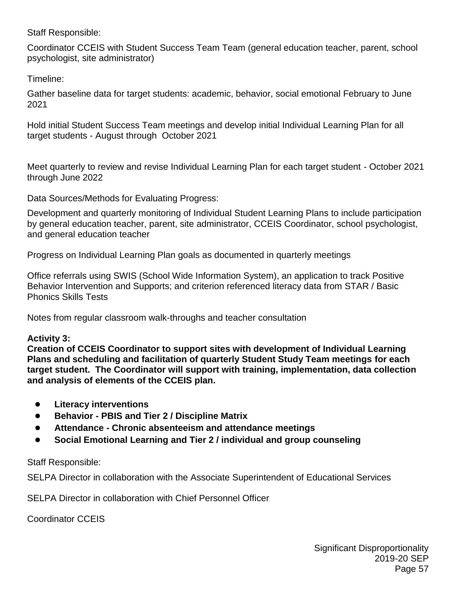Staff Responsible:

Coordinator CCEIS with Student Success Team Team (general education teacher, parent, school psychologist, site administrator)

Timeline:

Gather baseline data for target students: academic, behavior, social emotional February to June 2021

Hold initial Student Success Team meetings and develop initial Individual Learning Plan for all target students - August through October 2021

Meet quarterly to review and revise Individual Learning Plan for each target student - October 2021 through June 2022

Data Sources/Methods for Evaluating Progress:

Development and quarterly monitoring of Individual Student Learning Plans to include participation by general education teacher, parent, site administrator, CCEIS Coordinator, school psychologist, and general education teacher

Progress on Individual Learning Plan goals as documented in quarterly meetings

Office referrals using SWIS (School Wide Information System), an application to track Positive Behavior Intervention and Supports; and criterion referenced literacy data from STAR / Basic Phonics Skills Tests

Notes from regular classroom walk-throughs and teacher consultation

#### **Activity 3:**

**Creation of CCEIS Coordinator to support sites with development of Individual Learning Plans and scheduling and facilitation of quarterly Student Study Team meetings for each target student. The Coordinator will support with training, implementation, data collection and analysis of elements of the CCEIS plan.**

- **Literacy interventions**
- **Behavior - PBIS and Tier 2 / Discipline Matrix**
- **Attendance - Chronic absenteeism and attendance meetings**
- **Social Emotional Learning and Tier 2 / individual and group counseling**

#### Staff Responsible:

SELPA Director in collaboration with the Associate Superintendent of Educational Services

SELPA Director in collaboration with Chief Personnel Officer

Coordinator CCEIS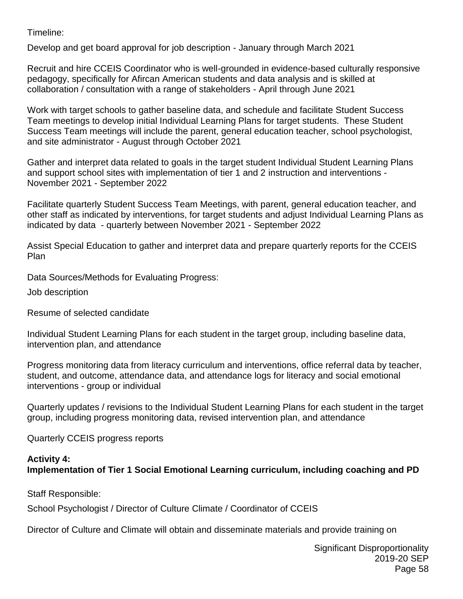Timeline:

Develop and get board approval for job description - January through March 2021

Recruit and hire CCEIS Coordinator who is well-grounded in evidence-based culturally responsive pedagogy, specifically for Afircan American students and data analysis and is skilled at collaboration / consultation with a range of stakeholders - April through June 2021

Work with target schools to gather baseline data, and schedule and facilitate Student Success Team meetings to develop initial Individual Learning Plans for target students. These Student Success Team meetings will include the parent, general education teacher, school psychologist, and site administrator - August through October 2021

Gather and interpret data related to goals in the target student Individual Student Learning Plans and support school sites with implementation of tier 1 and 2 instruction and interventions - November 2021 - September 2022

Facilitate quarterly Student Success Team Meetings, with parent, general education teacher, and other staff as indicated by interventions, for target students and adjust Individual Learning Plans as indicated by data - quarterly between November 2021 - September 2022

Assist Special Education to gather and interpret data and prepare quarterly reports for the CCEIS Plan

Data Sources/Methods for Evaluating Progress:

Job description

Resume of selected candidate

Individual Student Learning Plans for each student in the target group, including baseline data, intervention plan, and attendance

Progress monitoring data from literacy curriculum and interventions, office referral data by teacher, student, and outcome, attendance data, and attendance logs for literacy and social emotional interventions - group or individual

Quarterly updates / revisions to the Individual Student Learning Plans for each student in the target group, including progress monitoring data, revised intervention plan, and attendance

Quarterly CCEIS progress reports

#### **Activity 4:**

## **Implementation of Tier 1 Social Emotional Learning curriculum, including coaching and PD**

Staff Responsible:

School Psychologist / Director of Culture Climate / Coordinator of CCEIS

Director of Culture and Climate will obtain and disseminate materials and provide training on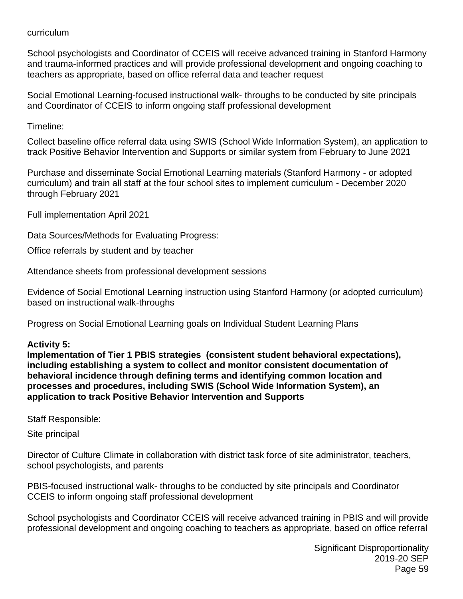#### curriculum

School psychologists and Coordinator of CCEIS will receive advanced training in Stanford Harmony and trauma-informed practices and will provide professional development and ongoing coaching to teachers as appropriate, based on office referral data and teacher request

Social Emotional Learning-focused instructional walk- throughs to be conducted by site principals and Coordinator of CCEIS to inform ongoing staff professional development

Timeline:

Collect baseline office referral data using SWIS (School Wide Information System), an application to track Positive Behavior Intervention and Supports or similar system from February to June 2021

Purchase and disseminate Social Emotional Learning materials (Stanford Harmony - or adopted curriculum) and train all staff at the four school sites to implement curriculum - December 2020 through February 2021

Full implementation April 2021

Data Sources/Methods for Evaluating Progress:

Office referrals by student and by teacher

Attendance sheets from professional development sessions

Evidence of Social Emotional Learning instruction using Stanford Harmony (or adopted curriculum) based on instructional walk-throughs

Progress on Social Emotional Learning goals on Individual Student Learning Plans

## **Activity 5:**

**Implementation of Tier 1 PBIS strategies (consistent student behavioral expectations), including establishing a system to collect and monitor consistent documentation of behavioral incidence through defining terms and identifying common location and processes and procedures, including SWIS (School Wide Information System), an application to track Positive Behavior Intervention and Supports** 

Staff Responsible:

Site principal

Director of Culture Climate in collaboration with district task force of site administrator, teachers, school psychologists, and parents

PBIS-focused instructional walk- throughs to be conducted by site principals and Coordinator CCEIS to inform ongoing staff professional development

School psychologists and Coordinator CCEIS will receive advanced training in PBIS and will provide professional development and ongoing coaching to teachers as appropriate, based on office referral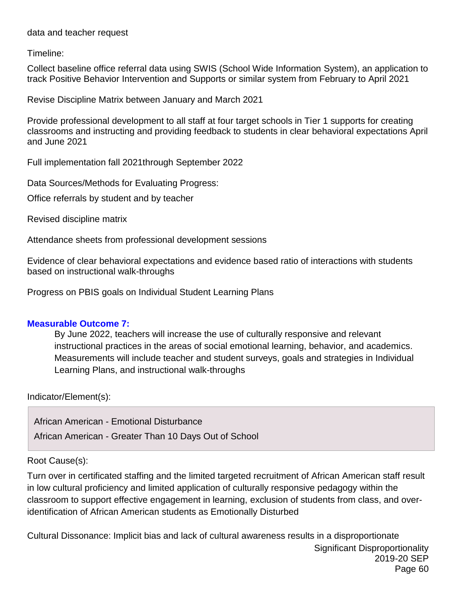data and teacher request

Timeline:

Collect baseline office referral data using SWIS (School Wide Information System), an application to track Positive Behavior Intervention and Supports or similar system from February to April 2021

Revise Discipline Matrix between January and March 2021

Provide professional development to all staff at four target schools in Tier 1 supports for creating classrooms and instructing and providing feedback to students in clear behavioral expectations April and June 2021

Full implementation fall 2021through September 2022

Data Sources/Methods for Evaluating Progress:

Office referrals by student and by teacher

Revised discipline matrix

Attendance sheets from professional development sessions

Evidence of clear behavioral expectations and evidence based ratio of interactions with students based on instructional walk-throughs

Progress on PBIS goals on Individual Student Learning Plans

#### **Measurable Outcome 7:**

By June 2022, teachers will increase the use of culturally responsive and relevant instructional practices in the areas of social emotional learning, behavior, and academics. Measurements will include teacher and student surveys, goals and strategies in Individual Learning Plans, and instructional walk-throughs

Indicator/Element(s):

African American - Emotional Disturbance African American - Greater Than 10 Days Out of School

#### Root Cause(s):

Turn over in certificated staffing and the limited targeted recruitment of African American staff result in low cultural proficiency and limited application of culturally responsive pedagogy within the classroom to support effective engagement in learning, exclusion of students from class, and overidentification of African American students as Emotionally Disturbed

Significant Disproportionality 2019-20 SEP Page 60 Cultural Dissonance: Implicit bias and lack of cultural awareness results in a disproportionate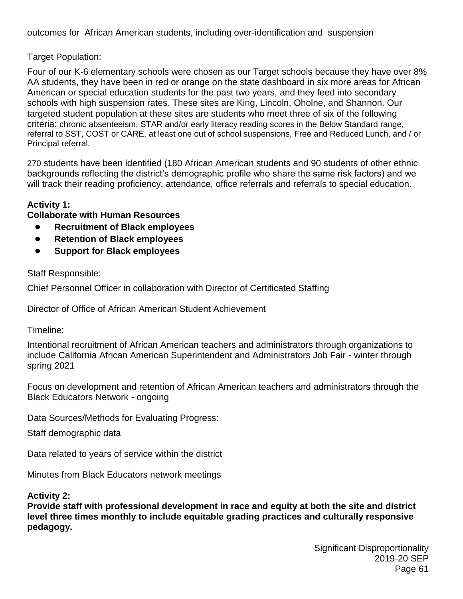outcomes for African American students, including over-identification and suspension

#### Target Population:

Four of our K-6 elementary schools were chosen as our Target schools because they have over 8% AA students, they have been in red or orange on the state dashboard in six more areas for African American or special education students for the past two years, and they feed into secondary schools with high suspension rates. These sites are King, Lincoln, Oholne, and Shannon. Our targeted student population at these sites are students who meet three of six of the following criteria: chronic absenteeism, STAR and/or early literacy reading scores in the Below Standard range, referral to SST, COST or CARE, at least one out of school suspensions, Free and Reduced Lunch, and / or Principal referral.

270 students have been identified (180 African American students and 90 students of other ethnic backgrounds reflecting the district's demographic profile who share the same risk factors) and we will track their reading proficiency, attendance, office referrals and referrals to special education.

#### **Activity 1:**

**Collaborate with Human Resources**

- **Recruitment of Black employees**
- **Retention of Black employees**
- **Support for Black employees**

Staff Responsible:

Chief Personnel Officer in collaboration with Director of Certificated Staffing

Director of Office of African American Student Achievement

Timeline:

Intentional recruitment of African American teachers and administrators through organizations to include California African American Superintendent and Administrators Job Fair - winter through spring 2021

Focus on development and retention of African American teachers and administrators through the Black Educators Network - ongoing

Data Sources/Methods for Evaluating Progress:

Staff demographic data

Data related to years of service within the district

Minutes from Black Educators network meetings

#### **Activity 2:**

**Provide staff with professional development in race and equity at both the site and district level three times monthly to include equitable grading practices and culturally responsive pedagogy.**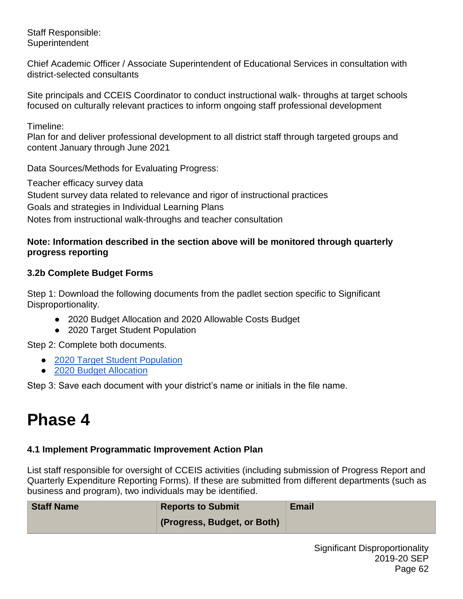Staff Responsible: **Superintendent** 

Chief Academic Officer / Associate Superintendent of Educational Services in consultation with district-selected consultants

Site principals and CCEIS Coordinator to conduct instructional walk- throughs at target schools focused on culturally relevant practices to inform ongoing staff professional development

Timeline:

Plan for and deliver professional development to all district staff through targeted groups and content January through June 2021

Data Sources/Methods for Evaluating Progress:

Teacher efficacy survey data Student survey data related to relevance and rigor of instructional practices Goals and strategies in Individual Learning Plans Notes from instructional walk-throughs and teacher consultation

#### **Note: Information described in the section above will be monitored through quarterly progress reporting**

## **3.2b Complete Budget Forms**

Step 1: Download the following documents from the padlet section specific to Significant Disproportionality.

- 2020 Budget Allocation and 2020 Allowable Costs Budget
- 2020 Target Student Population

Step 2: Complete both documents.

- [2020 Target Student Population](https://drive.google.com/file/d/1FyMY0kycHHn5O0G2Xue27pQOEqS_zYH1/view?usp=sharing)
- [2020 Budget Allocation](https://drive.google.com/file/d/1PaggRC25gssLPpIt8o83P_Jeni1V38Hm/view?usp=sharing)

Step 3: Save each document with your district's name or initials in the file name.

## **Phase 4**

## **4.1 Implement Programmatic Improvement Action Plan**

List staff responsible for oversight of CCEIS activities (including submission of Progress Report and Quarterly Expenditure Reporting Forms). If these are submitted from different departments (such as business and program), two individuals may be identified.

| <b>Staff Name</b> | <b>Reports to Submit</b>    | <b>Email</b> |
|-------------------|-----------------------------|--------------|
|                   | (Progress, Budget, or Both) |              |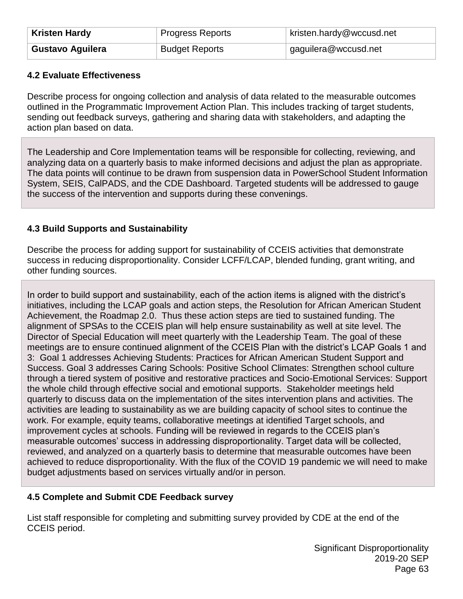| <b>Kristen Hardy</b>    | Progress Reports      | kristen.hardy@wccusd.net |
|-------------------------|-----------------------|--------------------------|
| <b>Gustavo Aguilera</b> | <b>Budget Reports</b> | gaguilera@wccusd.net     |

#### **4.2 Evaluate Effectiveness**

Describe process for ongoing collection and analysis of data related to the measurable outcomes outlined in the Programmatic Improvement Action Plan. This includes tracking of target students, sending out feedback surveys, gathering and sharing data with stakeholders, and adapting the action plan based on data.

The Leadership and Core Implementation teams will be responsible for collecting, reviewing, and analyzing data on a quarterly basis to make informed decisions and adjust the plan as appropriate. The data points will continue to be drawn from suspension data in PowerSchool Student Information System, SEIS, CalPADS, and the CDE Dashboard. Targeted students will be addressed to gauge the success of the intervention and supports during these convenings.

#### **4.3 Build Supports and Sustainability**

Describe the process for adding support for sustainability of CCEIS activities that demonstrate success in reducing disproportionality. Consider LCFF/LCAP, blended funding, grant writing, and other funding sources.

In order to build support and sustainability, each of the action items is aligned with the district's initiatives, including the LCAP goals and action steps, the Resolution for African American Student Achievement, the Roadmap 2.0. Thus these action steps are tied to sustained funding. The alignment of SPSAs to the CCEIS plan will help ensure sustainability as well at site level. The Director of Special Education will meet quarterly with the Leadership Team. The goal of these meetings are to ensure continued alignment of the CCEIS Plan with the district's LCAP Goals 1 and 3: Goal 1 addresses Achieving Students: Practices for African American Student Support and Success. Goal 3 addresses Caring Schools: Positive School Climates: Strengthen school culture through a tiered system of positive and restorative practices and Socio-Emotional Services: Support the whole child through effective social and emotional supports. Stakeholder meetings held quarterly to discuss data on the implementation of the sites intervention plans and activities. The activities are leading to sustainability as we are building capacity of school sites to continue the work. For example, equity teams, collaborative meetings at identified Target schools, and improvement cycles at schools. Funding will be reviewed in regards to the CCEIS plan's measurable outcomes' success in addressing disproportionality. Target data will be collected, reviewed, and analyzed on a quarterly basis to determine that measurable outcomes have been achieved to reduce disproportionality. With the flux of the COVID 19 pandemic we will need to make budget adjustments based on services virtually and/or in person.

#### **4.5 Complete and Submit CDE Feedback survey**

List staff responsible for completing and submitting survey provided by CDE at the end of the CCEIS period.